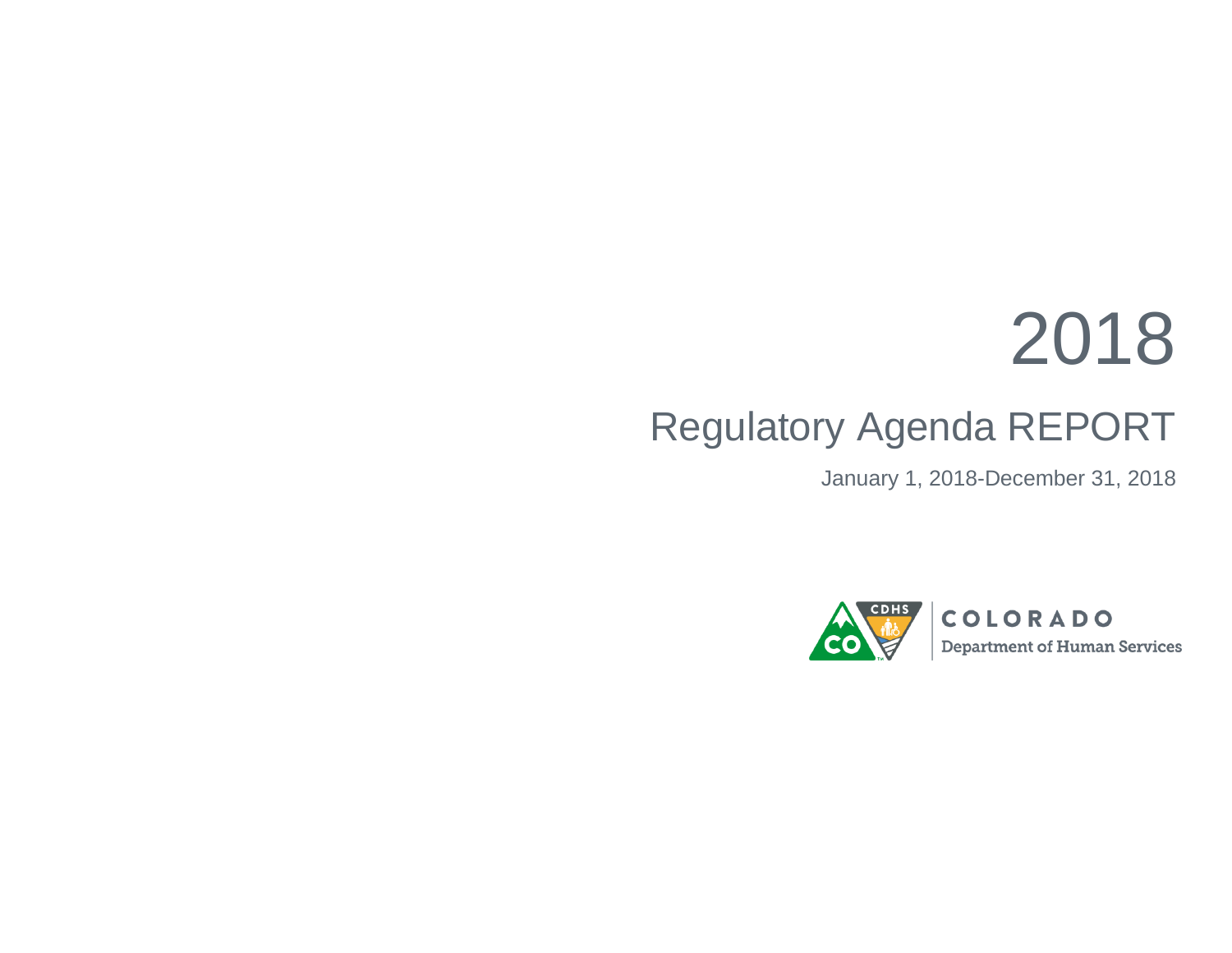## 2018

## Regulatory Agenda REPORT

January 1, 2018-December 31, 2018

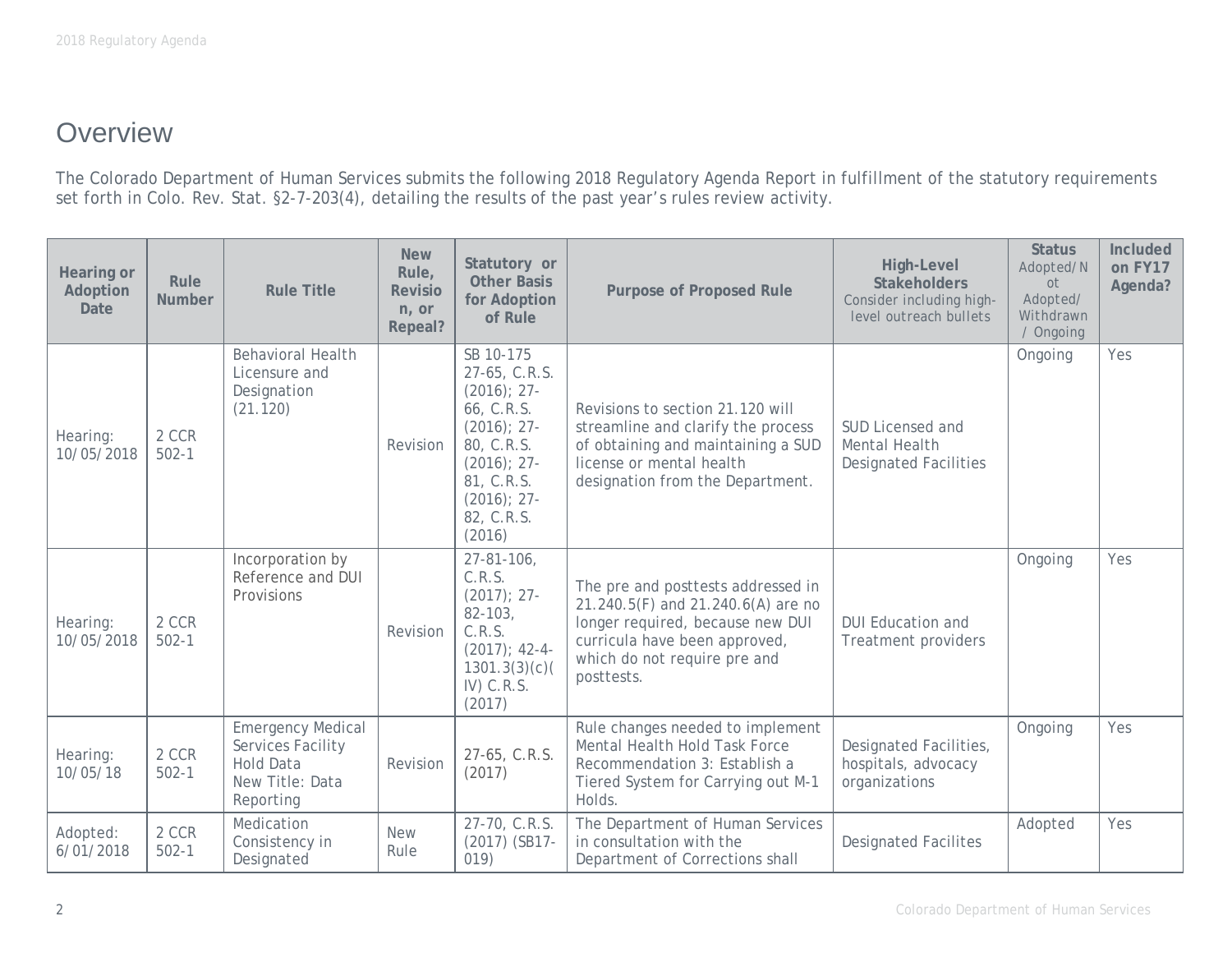## **Overview**

The Colorado Department of Human Services submits the following 2018 Regulatory Agenda Report in fulfillment of the statutory requirements set forth in Colo. Rev. Stat. §2-7-203(4), detailing the results of the past year's rules review activity.

| Hearing or<br>Adoption<br>Date | Rule<br><b>Number</b> | <b>Rule Title</b>                                                                                 | <b>New</b><br>Rule,<br><b>Revisio</b><br>n, or<br>Repeal? | Statutory or<br><b>Other Basis</b><br>for Adoption<br>of Rule                                                                                                        | <b>Purpose of Proposed Rule</b>                                                                                                                                                             | High-Level<br><b>Stakeholders</b><br>Consider including high-<br>level outreach bullets | <b>Status</b><br>Adopted/N<br>0t<br>Adopted/<br>Withdrawn<br>/ Ongoing | Included<br>on FY17<br>Agenda? |
|--------------------------------|-----------------------|---------------------------------------------------------------------------------------------------|-----------------------------------------------------------|----------------------------------------------------------------------------------------------------------------------------------------------------------------------|---------------------------------------------------------------------------------------------------------------------------------------------------------------------------------------------|-----------------------------------------------------------------------------------------|------------------------------------------------------------------------|--------------------------------|
| Hearing:<br>10/05/2018         | 2 CCR<br>$502 - 1$    | <b>Behavioral Health</b><br>Licensure and<br>Designation<br>(21.120)                              | Revision                                                  | SB 10-175<br>27-65, C.R.S.<br>$(2016)$ ; 27-<br>66, C.R.S.<br>$(2016)$ ; 27-<br>80, C.R.S.<br>$(2016)$ ; 27-<br>81, C.R.S.<br>$(2016)$ ; 27-<br>82, C.R.S.<br>(2016) | Revisions to section 21.120 will<br>streamline and clarify the process<br>of obtaining and maintaining a SUD<br>license or mental health<br>designation from the Department.                | SUD Licensed and<br>Mental Health<br><b>Designated Facilities</b>                       | Ongoing                                                                | Yes                            |
| Hearing:<br>10/05/2018         | 2 CCR<br>$502 - 1$    | Incorporation by<br>Reference and DUI<br>Provisions                                               | Revision                                                  | $27 - 81 - 106$ ,<br>C.R.S.<br>$(2017); 27-$<br>$82 - 103$<br>C.R.S.<br>$(2017)$ ; 42-4-<br>1301.3(3)(c)<br>$IV)$ C.R.S.<br>(2017)                                   | The pre and posttests addressed in<br>21.240.5(F) and 21.240.6(A) are no<br>longer required, because new DUI<br>curricula have been approved,<br>which do not require pre and<br>posttests. | <b>DUI Education and</b><br>Treatment providers                                         | Ongoing                                                                | Yes                            |
| Hearing:<br>10/05/18           | 2 CCR<br>$502 - 1$    | <b>Emergency Medical</b><br>Services Facility<br><b>Hold Data</b><br>New Title: Data<br>Reporting | Revision                                                  | 27-65, C.R.S.<br>(2017)                                                                                                                                              | Rule changes needed to implement<br>Mental Health Hold Task Force<br>Recommendation 3: Establish a<br>Tiered System for Carrying out M-1<br>Holds.                                          | Designated Facilities,<br>hospitals, advocacy<br>organizations                          | Ongoing                                                                | Yes                            |
| Adopted:<br>6/01/2018          | 2 CCR<br>$502 - 1$    | Medication<br>Consistency in<br>Designated                                                        | <b>New</b><br>Rule                                        | 27-70, C.R.S.<br>(2017) (SB17-<br>019)                                                                                                                               | The Department of Human Services<br>in consultation with the<br>Department of Corrections shall                                                                                             | <b>Designated Facilites</b>                                                             | Adopted                                                                | Yes                            |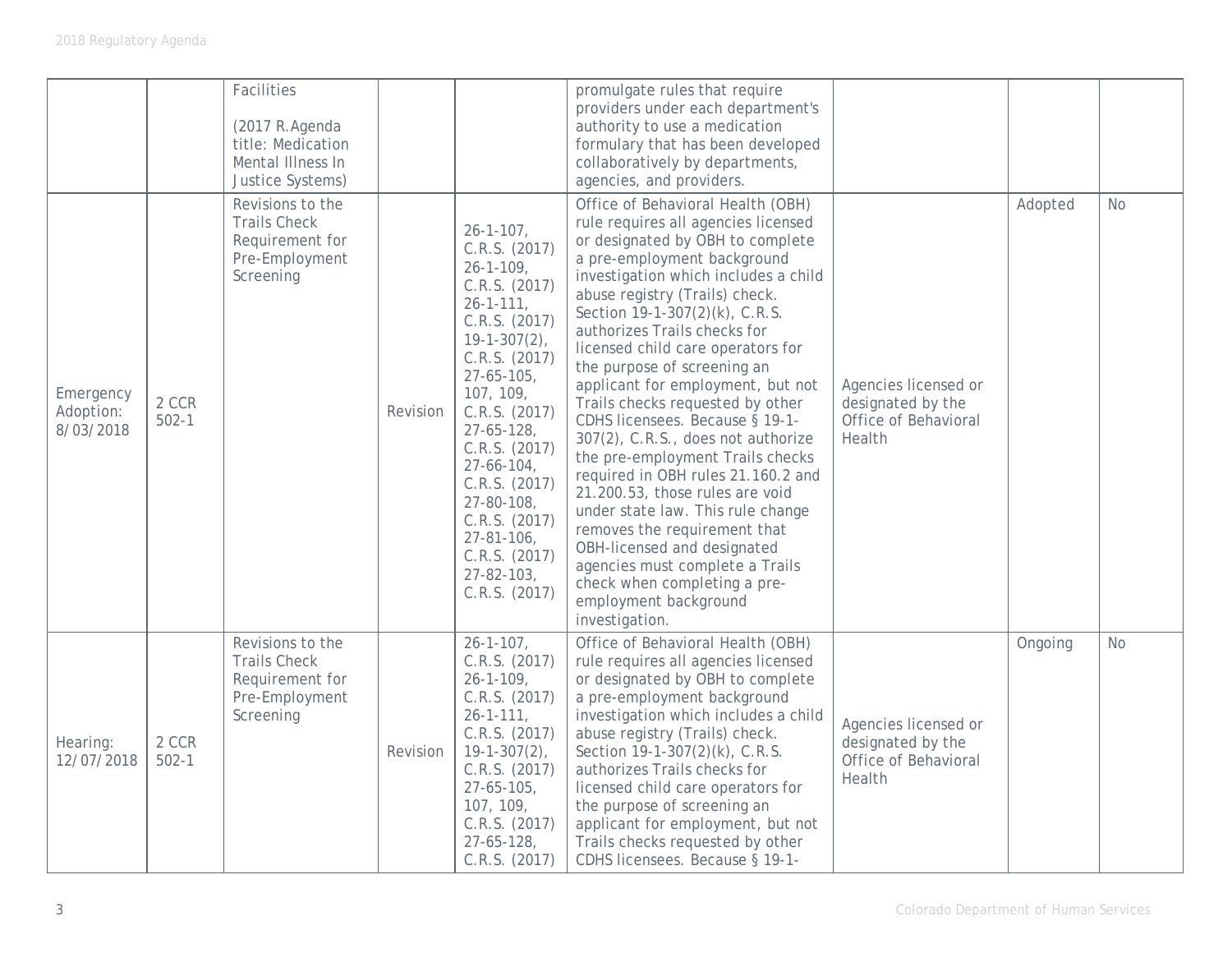|                                     |                    | Facilities<br>(2017 R.Agenda<br>title: Medication<br>Mental Illness In<br>Justice Systems)<br>Revisions to the<br><b>Trails Check</b><br>Requirement for<br>Pre-Employment |          | $26 - 1 - 107$ ,<br>C.R.S. (2017)                                                                                                                                                                                                                                                                                                                      | promulgate rules that require<br>providers under each department's<br>authority to use a medication<br>formulary that has been developed<br>collaboratively by departments,<br>agencies, and providers.<br>Office of Behavioral Health (OBH)<br>rule requires all agencies licensed<br>or designated by OBH to complete<br>a pre-employment background                                                                                                                                                                                                                                                                                                                                        |                                                                             | Adopted | <b>No</b> |
|-------------------------------------|--------------------|----------------------------------------------------------------------------------------------------------------------------------------------------------------------------|----------|--------------------------------------------------------------------------------------------------------------------------------------------------------------------------------------------------------------------------------------------------------------------------------------------------------------------------------------------------------|-----------------------------------------------------------------------------------------------------------------------------------------------------------------------------------------------------------------------------------------------------------------------------------------------------------------------------------------------------------------------------------------------------------------------------------------------------------------------------------------------------------------------------------------------------------------------------------------------------------------------------------------------------------------------------------------------|-----------------------------------------------------------------------------|---------|-----------|
| Emergency<br>Adoption:<br>8/03/2018 | 2 CCR<br>$502 - 1$ | Screening                                                                                                                                                                  | Revision | $26 - 1 - 109$<br>C.R.S. (2017)<br>$26 - 1 - 111,$<br>C.R.S. (2017)<br>$19 - 1 - 307(2)$ ,<br>C.R.S. (2017)<br>$27 - 65 - 105$<br>107, 109,<br>C.R.S. (2017)<br>$27 - 65 - 128$<br>C.R.S. (2017)<br>$27 - 66 - 104$ ,<br>C.R.S. (2017)<br>$27 - 80 - 108$<br>C.R.S. (2017)<br>$27 - 81 - 106$ ,<br>C.R.S. (2017)<br>$27 - 82 - 103$ ,<br>C.R.S. (2017) | investigation which includes a child<br>abuse registry (Trails) check.<br>Section 19-1-307(2)(k), C.R.S.<br>authorizes Trails checks for<br>licensed child care operators for<br>the purpose of screening an<br>applicant for employment, but not<br>Trails checks requested by other<br>CDHS licensees. Because § 19-1-<br>307(2), C.R.S., does not authorize<br>the pre-employment Trails checks<br>required in OBH rules 21.160.2 and<br>21.200.53, those rules are void<br>under state law. This rule change<br>removes the requirement that<br>OBH-licensed and designated<br>agencies must complete a Trails<br>check when completing a pre-<br>employment background<br>investigation. | Agencies licensed or<br>designated by the<br>Office of Behavioral<br>Health |         |           |
| Hearing:<br>12/07/2018              | 2 CCR<br>$502 - 1$ | Revisions to the<br><b>Trails Check</b><br>Requirement for<br>Pre-Employment<br>Screening                                                                                  | Revision | $26 - 1 - 107$ ,<br>C.R.S. (2017)<br>$26 - 1 - 109$ ,<br>C.R.S. (2017)<br>$26 - 1 - 111$ ,<br>C.R.S. (2017)<br>$19 - 1 - 307(2)$ ,<br>C.R.S. (2017)<br>$27 - 65 - 105$ ,<br>107, 109,<br>C.R.S. (2017)<br>$27 - 65 - 128$<br>C.R.S. (2017)                                                                                                             | Office of Behavioral Health (OBH)<br>rule requires all agencies licensed<br>or designated by OBH to complete<br>a pre-employment background<br>investigation which includes a child<br>abuse registry (Trails) check.<br>Section 19-1-307(2)(k), C.R.S.<br>authorizes Trails checks for<br>licensed child care operators for<br>the purpose of screening an<br>applicant for employment, but not<br>Trails checks requested by other<br>CDHS licensees. Because § 19-1-                                                                                                                                                                                                                       | Agencies licensed or<br>designated by the<br>Office of Behavioral<br>Health | Ongoing | No        |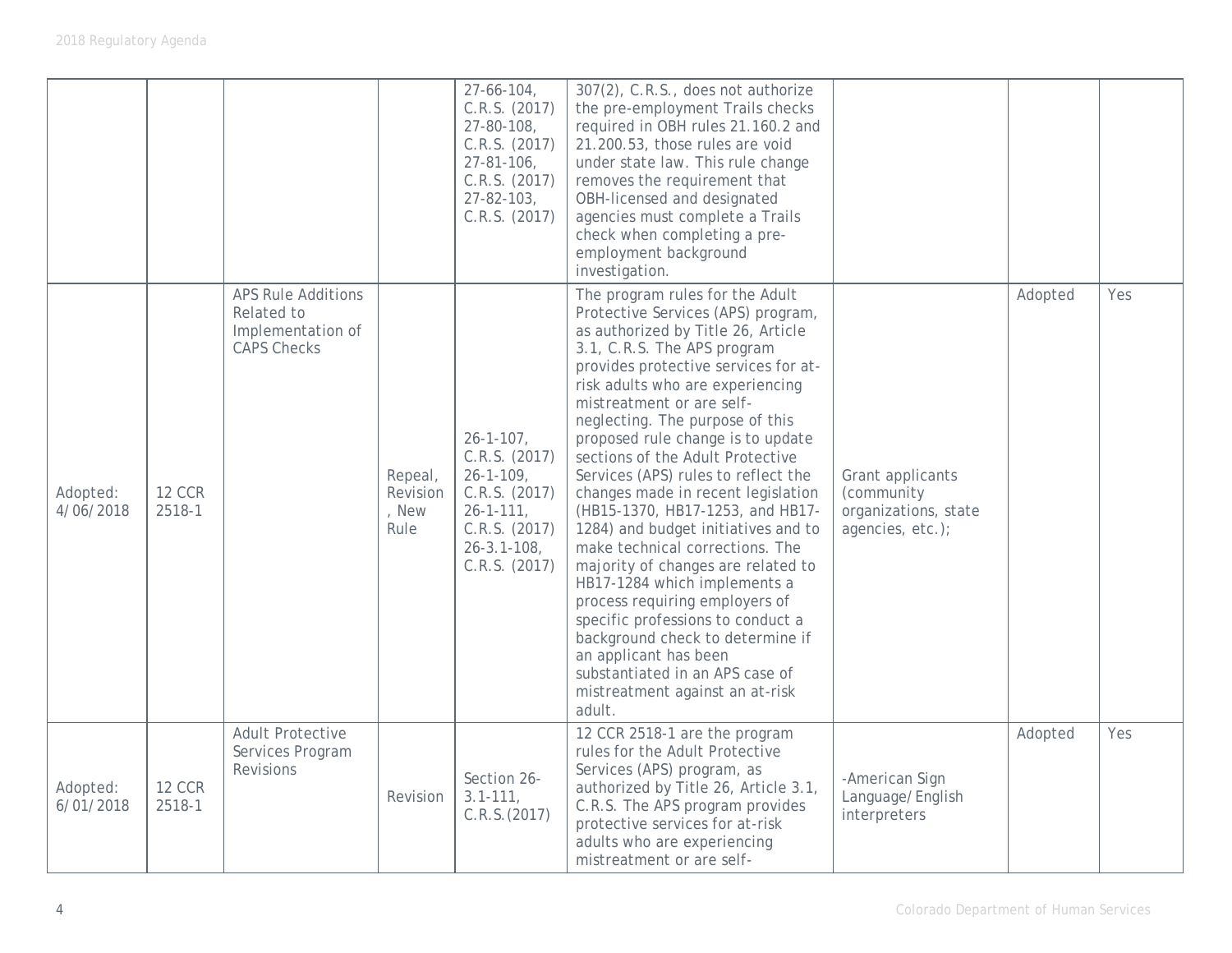|                       |                         |                                                                                    |                                      | $27 - 66 - 104$ ,<br>C.R.S. (2017)<br>27-80-108,<br>C.R.S. (2017)<br>$27 - 81 - 106$<br>C.R.S. (2017)<br>$27 - 82 - 103$<br>C.R.S. (2017)        | 307(2), C.R.S., does not authorize<br>the pre-employment Trails checks<br>required in OBH rules 21.160.2 and<br>21.200.53, those rules are void<br>under state law. This rule change<br>removes the requirement that<br>OBH-licensed and designated<br>agencies must complete a Trails<br>check when completing a pre-<br>employment background<br>investigation.                                                                                                                                                                                                                                                                                                                                                                                                                                                                                    |                                                                            |         |     |
|-----------------------|-------------------------|------------------------------------------------------------------------------------|--------------------------------------|--------------------------------------------------------------------------------------------------------------------------------------------------|------------------------------------------------------------------------------------------------------------------------------------------------------------------------------------------------------------------------------------------------------------------------------------------------------------------------------------------------------------------------------------------------------------------------------------------------------------------------------------------------------------------------------------------------------------------------------------------------------------------------------------------------------------------------------------------------------------------------------------------------------------------------------------------------------------------------------------------------------|----------------------------------------------------------------------------|---------|-----|
| Adopted:<br>4/06/2018 | <b>12 CCR</b><br>2518-1 | <b>APS Rule Additions</b><br>Related to<br>Implementation of<br><b>CAPS Checks</b> | Repeal,<br>Revision<br>, New<br>Rule | $26 - 1 - 107$ ,<br>C.R.S. (2017)<br>$26 - 1 - 109$<br>C.R.S. (2017)<br>$26 - 1 - 111$ ,<br>C.R.S. (2017)<br>$26 - 3.1 - 108$ ,<br>C.R.S. (2017) | The program rules for the Adult<br>Protective Services (APS) program,<br>as authorized by Title 26, Article<br>3.1, C.R.S. The APS program<br>provides protective services for at-<br>risk adults who are experiencing<br>mistreatment or are self-<br>neglecting. The purpose of this<br>proposed rule change is to update<br>sections of the Adult Protective<br>Services (APS) rules to reflect the<br>changes made in recent legislation<br>(HB15-1370, HB17-1253, and HB17-<br>1284) and budget initiatives and to<br>make technical corrections. The<br>majority of changes are related to<br>HB17-1284 which implements a<br>process requiring employers of<br>specific professions to conduct a<br>background check to determine if<br>an applicant has been<br>substantiated in an APS case of<br>mistreatment against an at-risk<br>adult. | Grant applicants<br>(community<br>organizations, state<br>agencies, etc.); | Adopted | Yes |
| Adopted:<br>6/01/2018 | <b>12 CCR</b><br>2518-1 | <b>Adult Protective</b><br>Services Program<br>Revisions                           | Revision                             | Section 26-<br>$3.1 - 111,$<br>C.R.S. (2017)                                                                                                     | 12 CCR 2518-1 are the program<br>rules for the Adult Protective<br>Services (APS) program, as<br>authorized by Title 26, Article 3.1,<br>C.R.S. The APS program provides<br>protective services for at-risk<br>adults who are experiencing<br>mistreatment or are self-                                                                                                                                                                                                                                                                                                                                                                                                                                                                                                                                                                              | -American Sign<br>Language/English<br>interpreters                         | Adopted | Yes |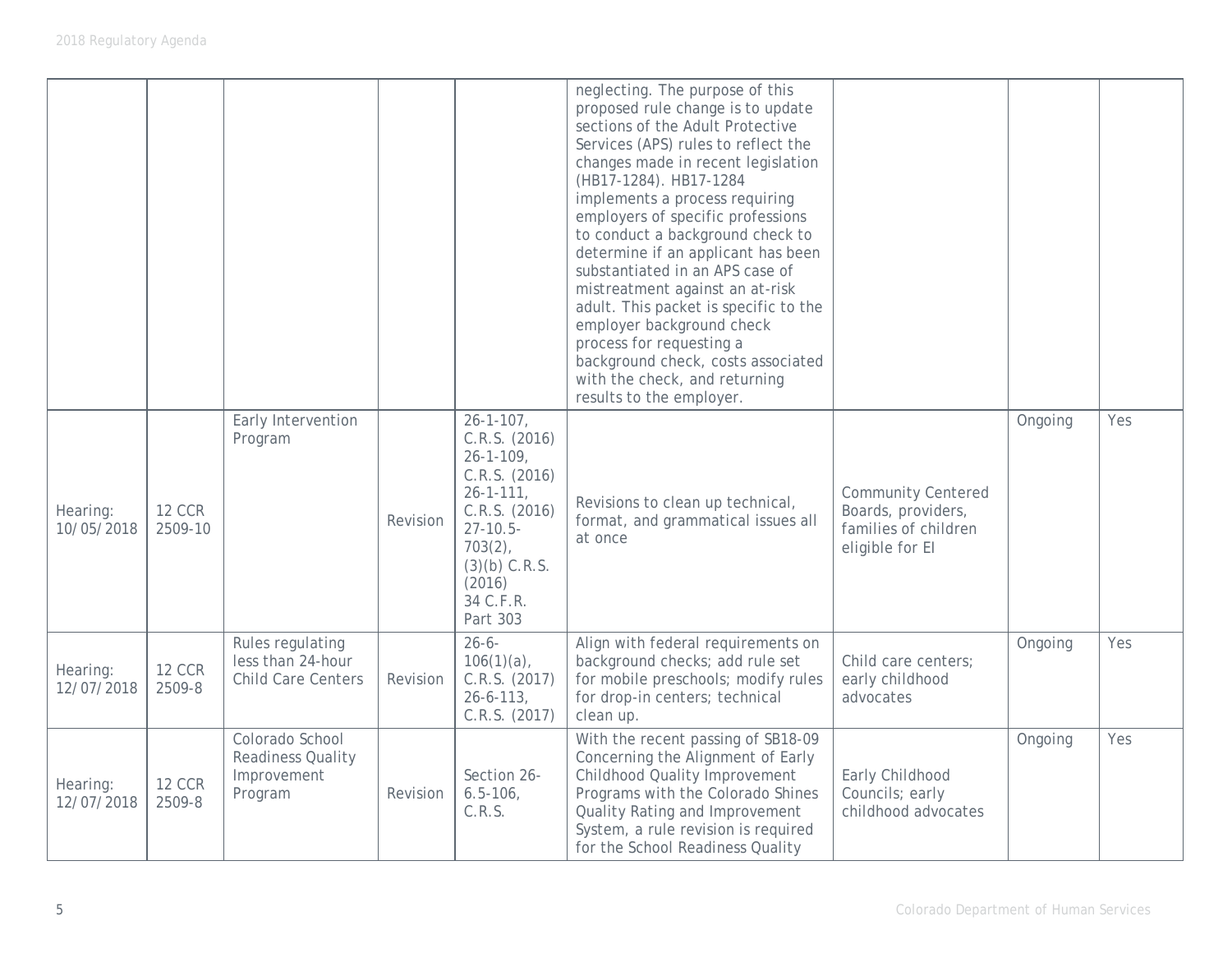|                        |                          |                                                                       |          |                                                                                                                                                                                                  | neglecting. The purpose of this<br>proposed rule change is to update<br>sections of the Adult Protective<br>Services (APS) rules to reflect the<br>changes made in recent legislation<br>(HB17-1284). HB17-1284<br>implements a process requiring<br>employers of specific professions<br>to conduct a background check to<br>determine if an applicant has been<br>substantiated in an APS case of<br>mistreatment against an at-risk<br>adult. This packet is specific to the<br>employer background check<br>process for requesting a<br>background check, costs associated<br>with the check, and returning<br>results to the employer. |                                                                                            |         |     |
|------------------------|--------------------------|-----------------------------------------------------------------------|----------|--------------------------------------------------------------------------------------------------------------------------------------------------------------------------------------------------|---------------------------------------------------------------------------------------------------------------------------------------------------------------------------------------------------------------------------------------------------------------------------------------------------------------------------------------------------------------------------------------------------------------------------------------------------------------------------------------------------------------------------------------------------------------------------------------------------------------------------------------------|--------------------------------------------------------------------------------------------|---------|-----|
| Hearing:<br>10/05/2018 | <b>12 CCR</b><br>2509-10 | Early Intervention<br>Program                                         | Revision | $26 - 1 - 107$ ,<br>C.R.S. (2016)<br>$26 - 1 - 109$ ,<br>C.R.S. (2016)<br>$26 - 1 - 111$ ,<br>C.R.S. (2016)<br>$27 - 10.5 -$<br>$703(2)$ ,<br>$(3)(b)$ C.R.S.<br>(2016)<br>34 C.F.R.<br>Part 303 | Revisions to clean up technical,<br>format, and grammatical issues all<br>at once                                                                                                                                                                                                                                                                                                                                                                                                                                                                                                                                                           | <b>Community Centered</b><br>Boards, providers,<br>families of children<br>eligible for El | Ongoing | Yes |
| Hearing:<br>12/07/2018 | <b>12 CCR</b><br>2509-8  | Rules regulating<br>less than 24-hour<br><b>Child Care Centers</b>    | Revision | $26 - 6 -$<br>$106(1)(a)$ ,<br>C.R.S. (2017)<br>$26 - 6 - 113$ ,<br>C.R.S. (2017)                                                                                                                | Align with federal requirements on<br>background checks; add rule set<br>for mobile preschools; modify rules<br>for drop-in centers; technical<br>clean up.                                                                                                                                                                                                                                                                                                                                                                                                                                                                                 | Child care centers;<br>early childhood<br>advocates                                        | Ongoing | Yes |
| Hearing:<br>12/07/2018 | <b>12 CCR</b><br>2509-8  | Colorado School<br><b>Readiness Quality</b><br>Improvement<br>Program | Revision | Section 26-<br>$6.5 - 106$<br>C.R.S.                                                                                                                                                             | With the recent passing of SB18-09<br>Concerning the Alignment of Early<br><b>Childhood Quality Improvement</b><br>Programs with the Colorado Shines<br>Quality Rating and Improvement<br>System, a rule revision is required<br>for the School Readiness Quality                                                                                                                                                                                                                                                                                                                                                                           | Early Childhood<br>Councils; early<br>childhood advocates                                  | Ongoing | Yes |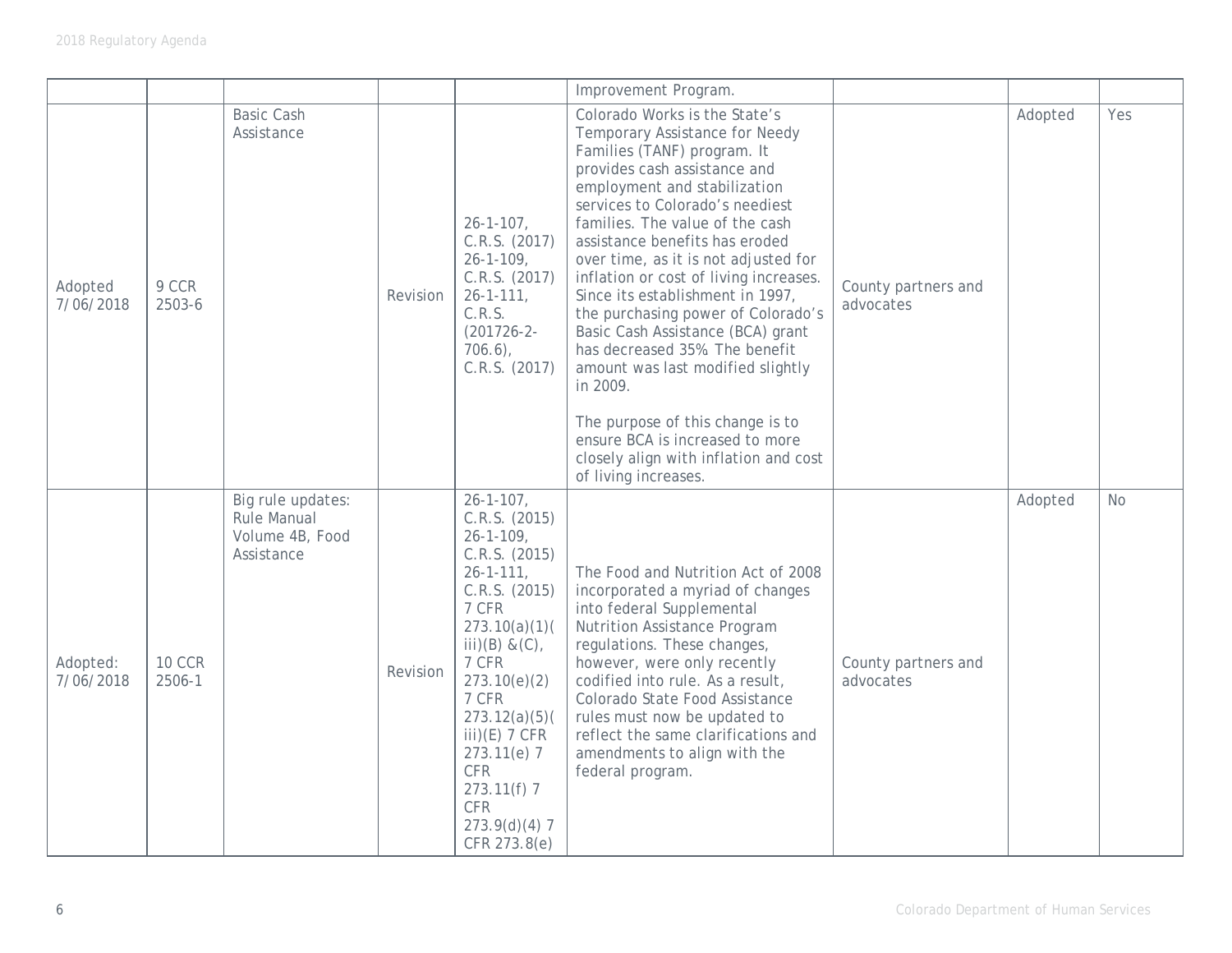|                       |                         |                                                                          |          |                                                                                                                                                                                                                                                                                                                                   | Improvement Program.                                                                                                                                                                                                                                                                                                                                                                                                                                                                                                                                                                                                                                                                               |                                  |         |           |
|-----------------------|-------------------------|--------------------------------------------------------------------------|----------|-----------------------------------------------------------------------------------------------------------------------------------------------------------------------------------------------------------------------------------------------------------------------------------------------------------------------------------|----------------------------------------------------------------------------------------------------------------------------------------------------------------------------------------------------------------------------------------------------------------------------------------------------------------------------------------------------------------------------------------------------------------------------------------------------------------------------------------------------------------------------------------------------------------------------------------------------------------------------------------------------------------------------------------------------|----------------------------------|---------|-----------|
| Adopted<br>7/06/2018  | 9 CCR<br>2503-6         | <b>Basic Cash</b><br>Assistance                                          | Revision | $26 - 1 - 107$ ,<br>C.R.S. (2017)<br>$26 - 1 - 109$ ,<br>C.R.S. (2017)<br>$26 - 1 - 111$ ,<br>C.R.S.<br>$(201726 - 2 -$<br>$706.6$ ,<br>C.R.S. (2017)                                                                                                                                                                             | Colorado Works is the State's<br>Temporary Assistance for Needy<br>Families (TANF) program. It<br>provides cash assistance and<br>employment and stabilization<br>services to Colorado's neediest<br>families. The value of the cash<br>assistance benefits has eroded<br>over time, as it is not adjusted for<br>inflation or cost of living increases.<br>Since its establishment in 1997,<br>the purchasing power of Colorado's<br>Basic Cash Assistance (BCA) grant<br>has decreased 35%. The benefit<br>amount was last modified slightly<br>in 2009.<br>The purpose of this change is to<br>ensure BCA is increased to more<br>closely align with inflation and cost<br>of living increases. | County partners and<br>advocates | Adopted | Yes       |
| Adopted:<br>7/06/2018 | <b>10 CCR</b><br>2506-1 | Big rule updates:<br><b>Rule Manual</b><br>Volume 4B, Food<br>Assistance | Revision | $26 - 1 - 107$ ,<br>C.R.S. (2015)<br>$26 - 1 - 109$ ,<br>C.R.S. (2015)<br>$26 - 1 - 111$ ,<br>C.R.S. (2015)<br>7 CFR<br>273.10(a)(1)<br>$iii)(B) & (C)$ ,<br>7 CFR<br>273.10(e)(2)<br>7 CFR<br>273.12(a)(5)(<br>$iii)$ (E) 7 CFR<br>$273.11(e)$ 7<br><b>CFR</b><br>$273.11(f)$ 7<br><b>CFR</b><br>$273.9(d)(4)$ 7<br>CFR 273.8(e) | The Food and Nutrition Act of 2008<br>incorporated a myriad of changes<br>into federal Supplemental<br><b>Nutrition Assistance Program</b><br>regulations. These changes,<br>however, were only recently<br>codified into rule. As a result,<br>Colorado State Food Assistance<br>rules must now be updated to<br>reflect the same clarifications and<br>amendments to align with the<br>federal program.                                                                                                                                                                                                                                                                                          | County partners and<br>advocates | Adopted | <b>No</b> |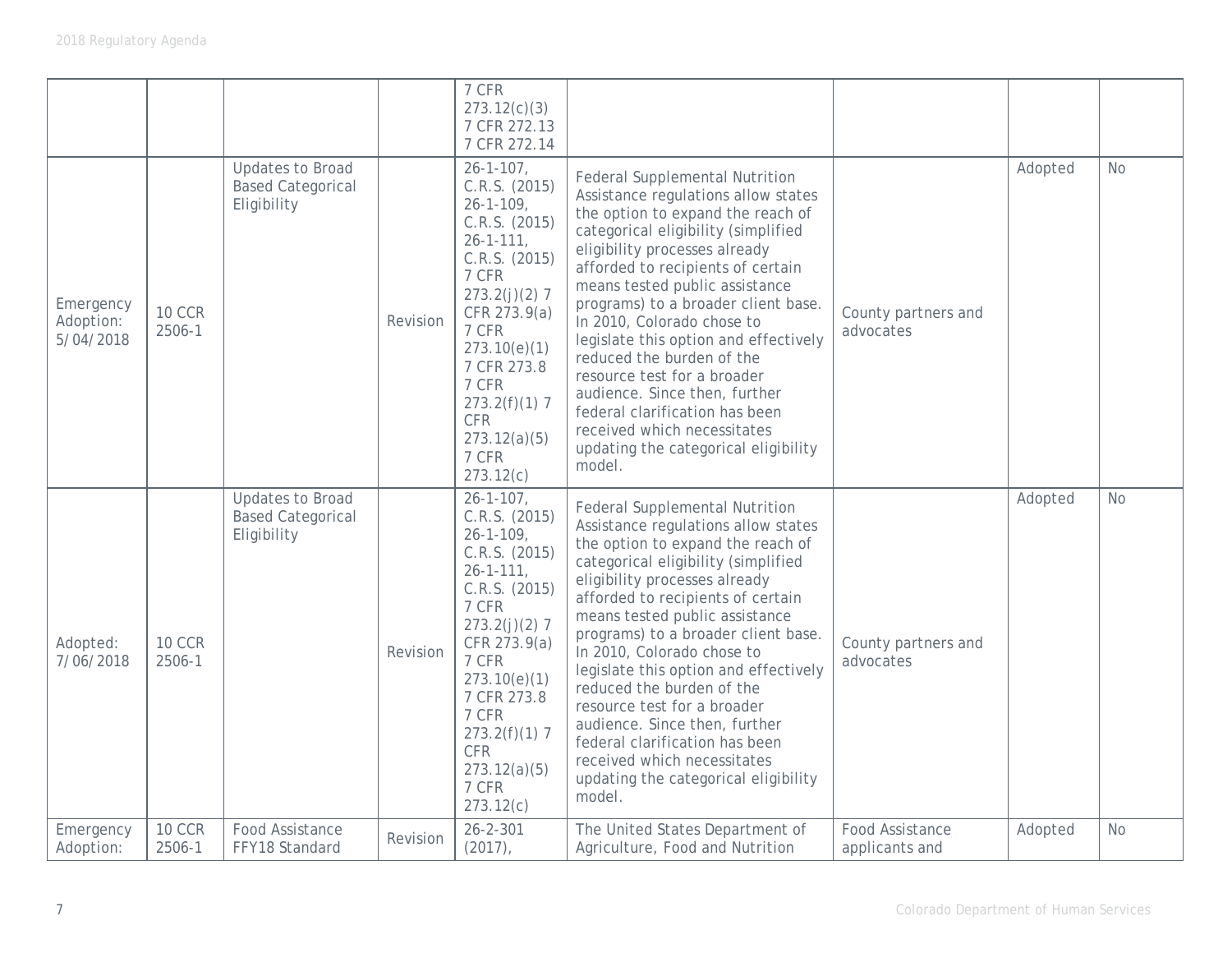|                                     |                         |                                                                    |          | 7 CFR<br>273.12(c)(3)<br>7 CFR 272.13<br>7 CFR 272.14                                                                                                                                                                                                                           |                                                                                                                                                                                                                                                                                                                                                                                                                                                                                                                                                                                                |                                   |         |           |
|-------------------------------------|-------------------------|--------------------------------------------------------------------|----------|---------------------------------------------------------------------------------------------------------------------------------------------------------------------------------------------------------------------------------------------------------------------------------|------------------------------------------------------------------------------------------------------------------------------------------------------------------------------------------------------------------------------------------------------------------------------------------------------------------------------------------------------------------------------------------------------------------------------------------------------------------------------------------------------------------------------------------------------------------------------------------------|-----------------------------------|---------|-----------|
| Emergency<br>Adoption:<br>5/04/2018 | <b>10 CCR</b><br>2506-1 | <b>Updates to Broad</b><br><b>Based Categorical</b><br>Eligibility | Revision | $26 - 1 - 107$ ,<br>C.R.S. (2015)<br>$26 - 1 - 109$ ,<br>C.R.S. (2015)<br>$26 - 1 - 111$ ,<br>C.R.S. (2015)<br>7 CFR<br>$273.2(j)(2)$ 7<br>CFR 273.9(a)<br>7 CFR<br>273.10(e)(1)<br>7 CFR 273.8<br>7 CFR<br>$273.2(f)(1)$ 7<br><b>CFR</b><br>273.12(a)(5)<br>7 CFR<br>273.12(c) | <b>Federal Supplemental Nutrition</b><br>Assistance regulations allow states<br>the option to expand the reach of<br>categorical eligibility (simplified<br>eligibility processes already<br>afforded to recipients of certain<br>means tested public assistance<br>programs) to a broader client base.<br>In 2010, Colorado chose to<br>legislate this option and effectively<br>reduced the burden of the<br>resource test for a broader<br>audience. Since then, further<br>federal clarification has been<br>received which necessitates<br>updating the categorical eligibility<br>model. | County partners and<br>advocates  | Adopted | <b>No</b> |
| Adopted:<br>7/06/2018               | <b>10 CCR</b><br>2506-1 | <b>Updates to Broad</b><br><b>Based Categorical</b><br>Eligibility | Revision | $26 - 1 - 107$ ,<br>C.R.S. (2015)<br>$26 - 1 - 109$ ,<br>C.R.S. (2015)<br>$26 - 1 - 111$ ,<br>C.R.S. (2015)<br>7 CFR<br>$273.2(j)(2)$ 7<br>CFR 273.9(a)<br>7 CFR<br>273.10(e)(1)<br>7 CFR 273.8<br>7 CFR<br>$273.2(f)(1)$ 7<br><b>CFR</b><br>273.12(a)(5)<br>7 CFR<br>273.12(c) | <b>Federal Supplemental Nutrition</b><br>Assistance regulations allow states<br>the option to expand the reach of<br>categorical eligibility (simplified<br>eligibility processes already<br>afforded to recipients of certain<br>means tested public assistance<br>programs) to a broader client base.<br>In 2010, Colorado chose to<br>legislate this option and effectively<br>reduced the burden of the<br>resource test for a broader<br>audience. Since then, further<br>federal clarification has been<br>received which necessitates<br>updating the categorical eligibility<br>model. | County partners and<br>advocates  | Adopted | <b>No</b> |
| Emergency<br>Adoption:              | <b>10 CCR</b><br>2506-1 | Food Assistance<br>FFY18 Standard                                  | Revision | $26 - 2 - 301$<br>$(2017)$ ,                                                                                                                                                                                                                                                    | The United States Department of<br>Agriculture, Food and Nutrition                                                                                                                                                                                                                                                                                                                                                                                                                                                                                                                             | Food Assistance<br>applicants and | Adopted | <b>No</b> |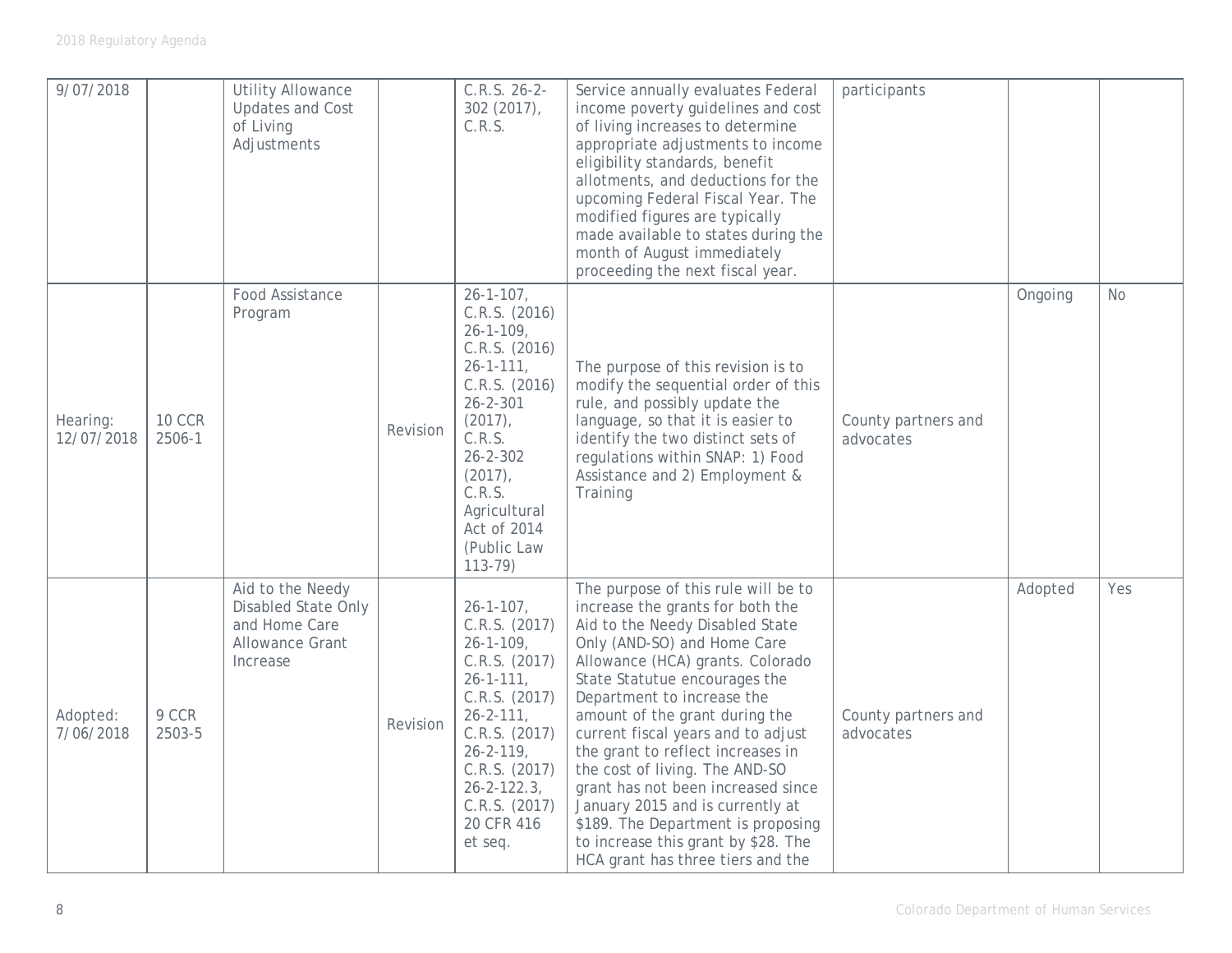| 9/07/2018              |                         | <b>Utility Allowance</b><br><b>Updates and Cost</b><br>of Living<br>Adjustments                |          | $C.R.S. 26-2-$<br>$302(2017)$ ,<br>C.R.S.                                                                                                                                                                                                                   | Service annually evaluates Federal<br>income poverty guidelines and cost<br>of living increases to determine<br>appropriate adjustments to income<br>eligibility standards, benefit<br>allotments, and deductions for the<br>upcoming Federal Fiscal Year. The<br>modified figures are typically<br>made available to states during the<br>month of August immediately<br>proceeding the next fiscal year.                                                                                                                                                                              | participants                     |         |     |
|------------------------|-------------------------|------------------------------------------------------------------------------------------------|----------|-------------------------------------------------------------------------------------------------------------------------------------------------------------------------------------------------------------------------------------------------------------|-----------------------------------------------------------------------------------------------------------------------------------------------------------------------------------------------------------------------------------------------------------------------------------------------------------------------------------------------------------------------------------------------------------------------------------------------------------------------------------------------------------------------------------------------------------------------------------------|----------------------------------|---------|-----|
| Hearing:<br>12/07/2018 | <b>10 CCR</b><br>2506-1 | Food Assistance<br>Program                                                                     | Revision | $26 - 1 - 107$ ,<br>C.R.S. (2016)<br>$26 - 1 - 109$ ,<br>C.R.S. (2016)<br>$26 - 1 - 111$ ,<br>C.R.S. (2016)<br>$26 - 2 - 301$<br>$(2017)$ ,<br>C.R.S.<br>$26 - 2 - 302$<br>$(2017)$ ,<br>C.R.S.<br>Agricultural<br>Act of 2014<br>(Public Law<br>$113 - 79$ | The purpose of this revision is to<br>modify the sequential order of this<br>rule, and possibly update the<br>language, so that it is easier to<br>identify the two distinct sets of<br>regulations within SNAP: 1) Food<br>Assistance and 2) Employment &<br>Training                                                                                                                                                                                                                                                                                                                  | County partners and<br>advocates | Ongoing | No. |
| Adopted:<br>7/06/2018  | 9 CCR<br>2503-5         | Aid to the Needy<br>Disabled State Only<br>and Home Care<br><b>Allowance Grant</b><br>Increase | Revision | $26 - 1 - 107$ ,<br>C.R.S. (2017)<br>$26 - 1 - 109$ ,<br>C.R.S. (2017)<br>$26 - 1 - 111$ ,<br>C.R.S. (2017)<br>$26 - 2 - 111$ ,<br>C.R.S. (2017)<br>$26 - 2 - 119$ ,<br>C.R.S. (2017)<br>$26 - 2 - 122.3$<br>C.R.S. (2017)<br>20 CFR 416<br>et seq.         | The purpose of this rule will be to<br>increase the grants for both the<br>Aid to the Needy Disabled State<br>Only (AND-SO) and Home Care<br>Allowance (HCA) grants. Colorado<br>State Statutue encourages the<br>Department to increase the<br>amount of the grant during the<br>current fiscal years and to adjust<br>the grant to reflect increases in<br>the cost of living. The AND-SO<br>grant has not been increased since<br>January 2015 and is currently at<br>\$189. The Department is proposing<br>to increase this grant by \$28. The<br>HCA grant has three tiers and the | County partners and<br>advocates | Adopted | Yes |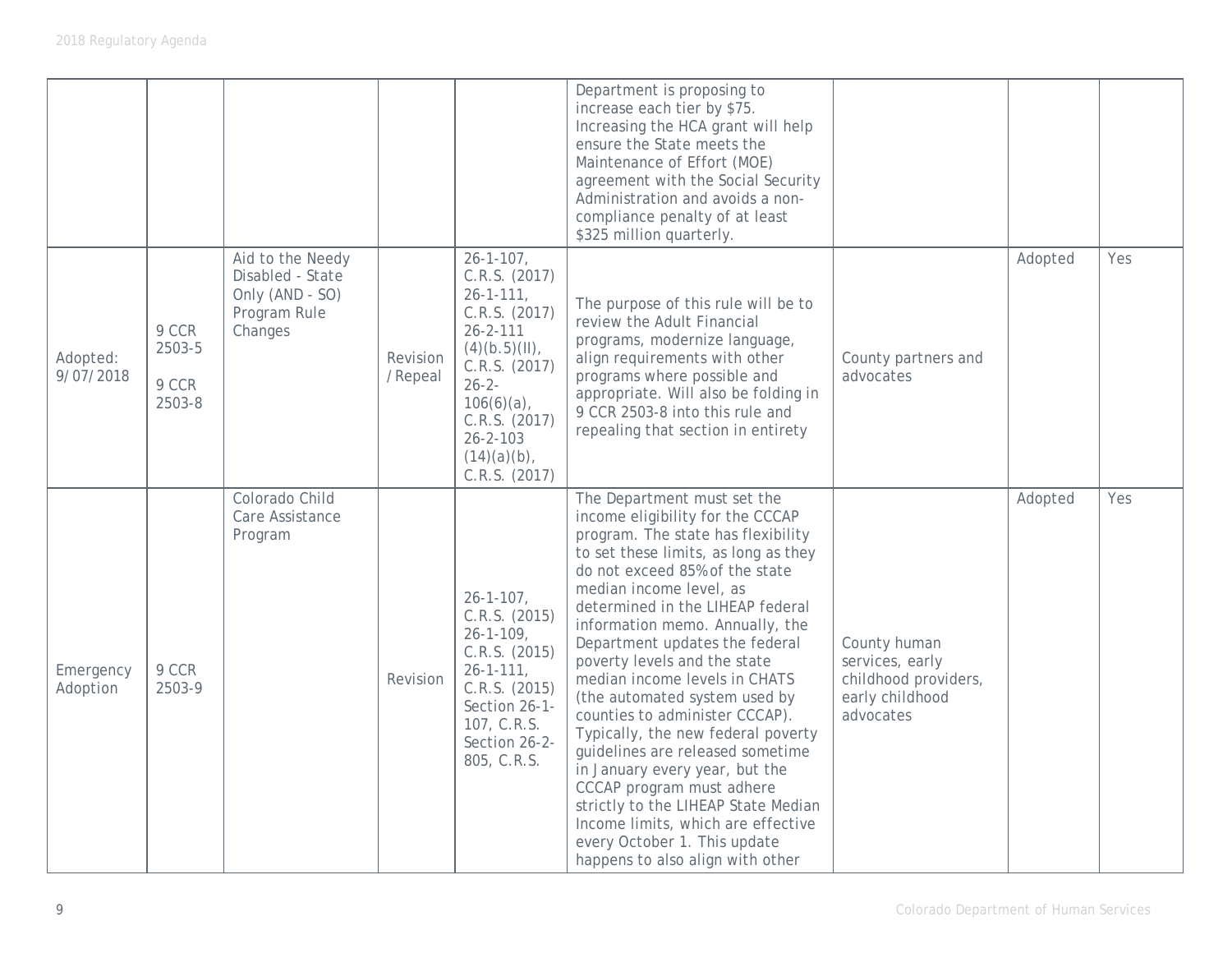|                       |                                    |                                                                                    |                     |                                                                                                                                                                                                                                    | Department is proposing to<br>increase each tier by \$75.<br>Increasing the HCA grant will help<br>ensure the State meets the<br>Maintenance of Effort (MOE)<br>agreement with the Social Security<br>Administration and avoids a non-<br>compliance penalty of at least<br>\$325 million quarterly.                                                                                                                                                                                                                                                                                                                                                                                                                                              |                                                                                         |         |     |
|-----------------------|------------------------------------|------------------------------------------------------------------------------------|---------------------|------------------------------------------------------------------------------------------------------------------------------------------------------------------------------------------------------------------------------------|---------------------------------------------------------------------------------------------------------------------------------------------------------------------------------------------------------------------------------------------------------------------------------------------------------------------------------------------------------------------------------------------------------------------------------------------------------------------------------------------------------------------------------------------------------------------------------------------------------------------------------------------------------------------------------------------------------------------------------------------------|-----------------------------------------------------------------------------------------|---------|-----|
| Adopted:<br>9/07/2018 | 9 CCR<br>2503-5<br>9 CCR<br>2503-8 | Aid to the Needy<br>Disabled - State<br>Only (AND - SO)<br>Program Rule<br>Changes | Revision<br>/Repeal | $26 - 1 - 107$ ,<br>C.R.S. (2017)<br>$26 - 1 - 111$ ,<br>C.R.S. (2017)<br>$26 - 2 - 111$<br>$(4)(b.5)(II)$ ,<br>C.R.S. (2017)<br>$26 - 2 -$<br>$106(6)(a)$ ,<br>C.R.S. (2017)<br>$26 - 2 - 103$<br>$(14)(a)(b)$ ,<br>C.R.S. (2017) | The purpose of this rule will be to<br>review the Adult Financial<br>programs, modernize language,<br>align requirements with other<br>programs where possible and<br>appropriate. Will also be folding in<br>9 CCR 2503-8 into this rule and<br>repealing that section in entirety                                                                                                                                                                                                                                                                                                                                                                                                                                                               | County partners and<br>advocates                                                        | Adopted | Yes |
| Emergency<br>Adoption | 9 CCR<br>2503-9                    | Colorado Child<br>Care Assistance<br>Program                                       | Revision            | $26 - 1 - 107$ ,<br>C.R.S. (2015)<br>$26 - 1 - 109$ ,<br>C.R.S. (2015)<br>$26 - 1 - 111$ ,<br>C.R.S. (2015)<br>Section 26-1-<br>107, C.R.S.<br>Section 26-2-<br>805, C.R.S.                                                        | The Department must set the<br>income eligibility for the CCCAP<br>program. The state has flexibility<br>to set these limits, as long as they<br>do not exceed 85% of the state<br>median income level, as<br>determined in the LIHEAP federal<br>information memo. Annually, the<br>Department updates the federal<br>poverty levels and the state<br>median income levels in CHATS<br>(the automated system used by<br>counties to administer CCCAP).<br>Typically, the new federal poverty<br>guidelines are released sometime<br>in January every year, but the<br>CCCAP program must adhere<br>strictly to the LIHEAP State Median<br>Income limits, which are effective<br>every October 1. This update<br>happens to also align with other | County human<br>services, early<br>childhood providers,<br>early childhood<br>advocates | Adopted | Yes |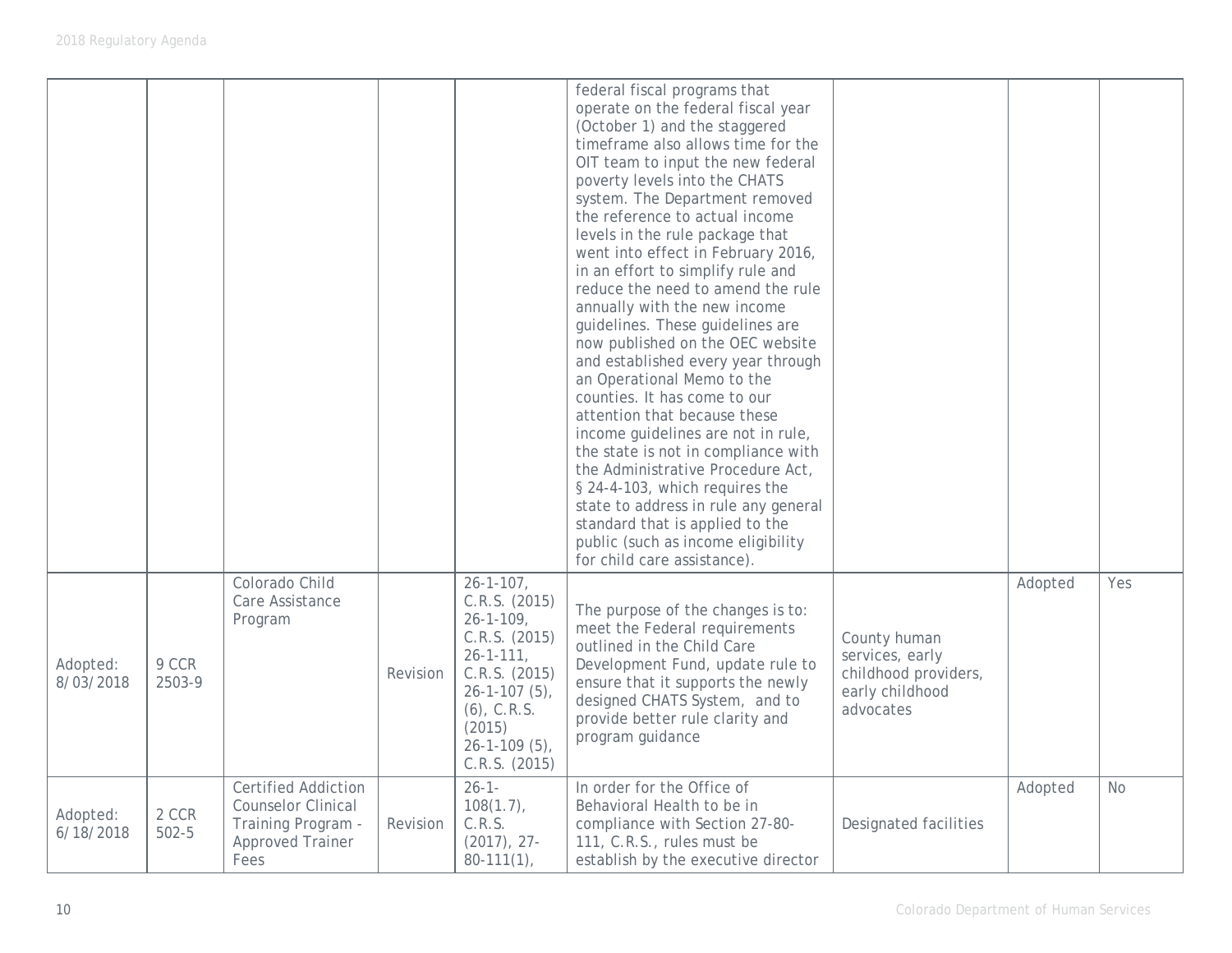|                       |                    |                                                                                                                  |          |                                                                                                                                                                                                        | federal fiscal programs that<br>operate on the federal fiscal year<br>(October 1) and the staggered<br>timeframe also allows time for the<br>OIT team to input the new federal<br>poverty levels into the CHATS<br>system. The Department removed<br>the reference to actual income<br>levels in the rule package that<br>went into effect in February 2016,<br>in an effort to simplify rule and<br>reduce the need to amend the rule<br>annually with the new income<br>guidelines. These guidelines are<br>now published on the OEC website<br>and established every year through<br>an Operational Memo to the<br>counties. It has come to our<br>attention that because these<br>income guidelines are not in rule,<br>the state is not in compliance with<br>the Administrative Procedure Act,<br>§ 24-4-103, which requires the<br>state to address in rule any general<br>standard that is applied to the<br>public (such as income eligibility<br>for child care assistance). |                                                                                         |         |           |
|-----------------------|--------------------|------------------------------------------------------------------------------------------------------------------|----------|--------------------------------------------------------------------------------------------------------------------------------------------------------------------------------------------------------|----------------------------------------------------------------------------------------------------------------------------------------------------------------------------------------------------------------------------------------------------------------------------------------------------------------------------------------------------------------------------------------------------------------------------------------------------------------------------------------------------------------------------------------------------------------------------------------------------------------------------------------------------------------------------------------------------------------------------------------------------------------------------------------------------------------------------------------------------------------------------------------------------------------------------------------------------------------------------------------|-----------------------------------------------------------------------------------------|---------|-----------|
| Adopted:<br>8/03/2018 | 9 CCR<br>2503-9    | Colorado Child<br>Care Assistance<br>Program                                                                     | Revision | $26 - 1 - 107$ ,<br>C.R.S. (2015)<br>$26 - 1 - 109$ ,<br>C.R.S. (2015)<br>$26 - 1 - 111$ ,<br>C.R.S. (2015)<br>$26 - 1 - 107(5)$ ,<br>$(6)$ , C.R.S.<br>(2015)<br>$26 - 1 - 109(5)$ ,<br>C.R.S. (2015) | The purpose of the changes is to:<br>meet the Federal requirements<br>outlined in the Child Care<br>Development Fund, update rule to<br>ensure that it supports the newly<br>designed CHATS System, and to<br>provide better rule clarity and<br>program guidance                                                                                                                                                                                                                                                                                                                                                                                                                                                                                                                                                                                                                                                                                                                      | County human<br>services, early<br>childhood providers,<br>early childhood<br>advocates | Adopted | Yes       |
| Adopted:<br>6/18/2018 | 2 CCR<br>$502 - 5$ | <b>Certified Addiction</b><br><b>Counselor Clinical</b><br>Training Program -<br><b>Approved Trainer</b><br>Fees | Revision | $26 - 1 -$<br>$108(1.7)$ ,<br>C.R.S.<br>$(2017), 27-$<br>$80-111(1)$ ,                                                                                                                                 | In order for the Office of<br>Behavioral Health to be in<br>compliance with Section 27-80-<br>111, C.R.S., rules must be<br>establish by the executive director                                                                                                                                                                                                                                                                                                                                                                                                                                                                                                                                                                                                                                                                                                                                                                                                                        | Designated facilities                                                                   | Adopted | <b>No</b> |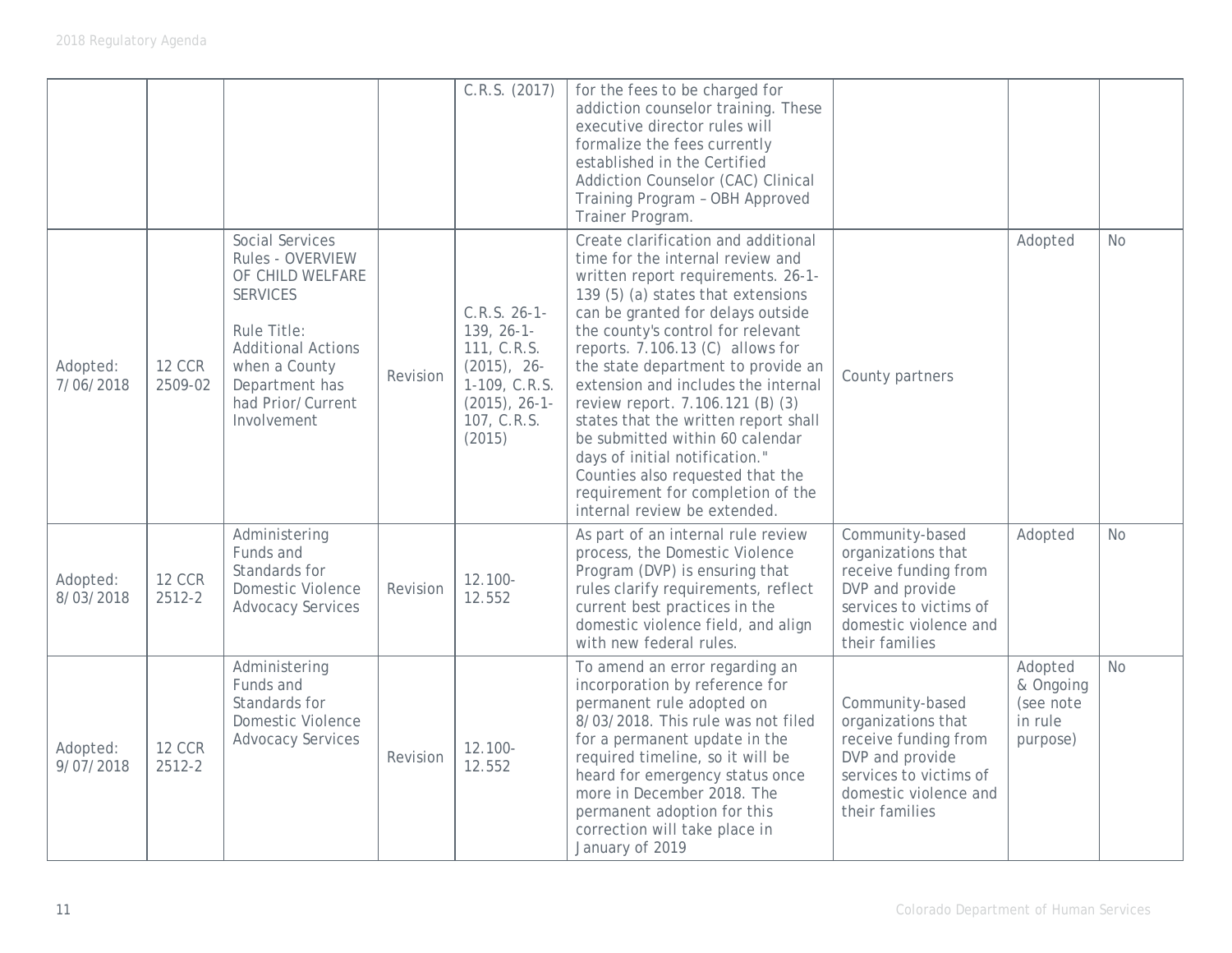|                       |                          |                                                                                                                                                                                                      |          | C.R.S. (2017)                                                                                                                 | for the fees to be charged for<br>addiction counselor training. These<br>executive director rules will<br>formalize the fees currently<br>established in the Certified<br>Addiction Counselor (CAC) Clinical<br>Training Program - OBH Approved<br>Trainer Program.                                                                                                                                                                                                                                                                                                                                      |                                                                                                                                                       |                                                          |           |
|-----------------------|--------------------------|------------------------------------------------------------------------------------------------------------------------------------------------------------------------------------------------------|----------|-------------------------------------------------------------------------------------------------------------------------------|----------------------------------------------------------------------------------------------------------------------------------------------------------------------------------------------------------------------------------------------------------------------------------------------------------------------------------------------------------------------------------------------------------------------------------------------------------------------------------------------------------------------------------------------------------------------------------------------------------|-------------------------------------------------------------------------------------------------------------------------------------------------------|----------------------------------------------------------|-----------|
| Adopted:<br>7/06/2018 | <b>12 CCR</b><br>2509-02 | <b>Social Services</b><br>Rules - OVERVIEW<br>OF CHILD WELFARE<br><b>SERVICES</b><br>Rule Title:<br><b>Additional Actions</b><br>when a County<br>Department has<br>had Prior/Current<br>Involvement | Revision | $C.R.S. 26-1-$<br>$139, 26-1-$<br>111, C.R.S.<br>$(2015)$ , 26-<br>1-109, C.R.S.<br>$(2015)$ , 26-1-<br>107, C.R.S.<br>(2015) | Create clarification and additional<br>time for the internal review and<br>written report requirements. 26-1-<br>139 (5) (a) states that extensions<br>can be granted for delays outside<br>the county's control for relevant<br>reports. 7.106.13 (C) allows for<br>the state department to provide an<br>extension and includes the internal<br>review report. 7.106.121 (B) (3)<br>states that the written report shall<br>be submitted within 60 calendar<br>days of initial notification."<br>Counties also requested that the<br>requirement for completion of the<br>internal review be extended. | County partners                                                                                                                                       | Adopted                                                  | <b>No</b> |
| Adopted:<br>8/03/2018 | <b>12 CCR</b><br>2512-2  | Administering<br>Funds and<br>Standards for<br>Domestic Violence<br><b>Advocacy Services</b>                                                                                                         | Revision | $12.100 -$<br>12.552                                                                                                          | As part of an internal rule review<br>process, the Domestic Violence<br>Program (DVP) is ensuring that<br>rules clarify requirements, reflect<br>current best practices in the<br>domestic violence field, and align<br>with new federal rules.                                                                                                                                                                                                                                                                                                                                                          | Community-based<br>organizations that<br>receive funding from<br>DVP and provide<br>services to victims of<br>domestic violence and<br>their families | Adopted                                                  | <b>No</b> |
| Adopted:<br>9/07/2018 | <b>12 CCR</b><br>2512-2  | Administering<br>Funds and<br>Standards for<br>Domestic Violence<br><b>Advocacy Services</b>                                                                                                         | Revision | 12.100-<br>12.552                                                                                                             | To amend an error regarding an<br>incorporation by reference for<br>permanent rule adopted on<br>8/03/2018. This rule was not filed<br>for a permanent update in the<br>required timeline, so it will be<br>heard for emergency status once<br>more in December 2018. The<br>permanent adoption for this<br>correction will take place in<br>January of 2019                                                                                                                                                                                                                                             | Community-based<br>organizations that<br>receive funding from<br>DVP and provide<br>services to victims of<br>domestic violence and<br>their families | Adopted<br>& Ongoing<br>(see note<br>in rule<br>purpose) | <b>No</b> |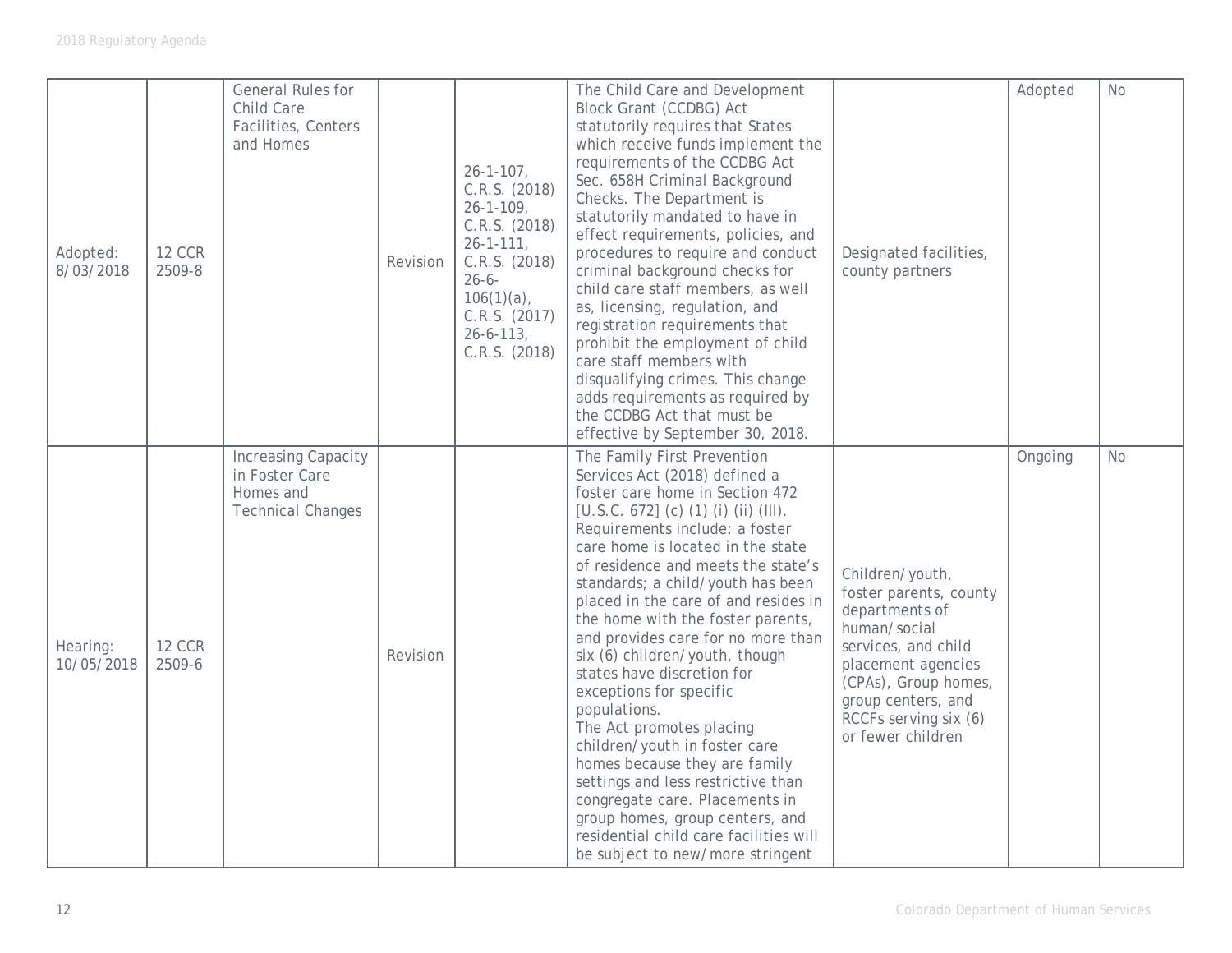| Adopted:<br>8/03/2018  | <b>12 CCR</b><br>2509-8 | General Rules for<br>Child Care<br>Facilities, Centers<br>and Homes                   | Revision | $26 - 1 - 107$ ,<br>C.R.S. (2018)<br>$26 - 1 - 109$ ,<br>C.R.S. (2018)<br>$26 - 1 - 111$ ,<br>C.R.S. (2018)<br>$26 - 6 -$<br>$106(1)(a)$ ,<br>C.R.S. (2017)<br>$26 - 6 - 113$ ,<br>C.R.S. (2018) | The Child Care and Development<br><b>Block Grant (CCDBG) Act</b><br>statutorily requires that States<br>which receive funds implement the<br>requirements of the CCDBG Act<br>Sec. 658H Criminal Background<br>Checks. The Department is<br>statutorily mandated to have in<br>effect requirements, policies, and<br>procedures to require and conduct<br>criminal background checks for<br>child care staff members, as well<br>as, licensing, regulation, and<br>registration requirements that<br>prohibit the employment of child<br>care staff members with<br>disqualifying crimes. This change<br>adds requirements as required by<br>the CCDBG Act that must be<br>effective by September 30, 2018.                                                                                                    | Designated facilities,<br>county partners                                                                                                                                                                            | Adopted | No        |
|------------------------|-------------------------|---------------------------------------------------------------------------------------|----------|--------------------------------------------------------------------------------------------------------------------------------------------------------------------------------------------------|----------------------------------------------------------------------------------------------------------------------------------------------------------------------------------------------------------------------------------------------------------------------------------------------------------------------------------------------------------------------------------------------------------------------------------------------------------------------------------------------------------------------------------------------------------------------------------------------------------------------------------------------------------------------------------------------------------------------------------------------------------------------------------------------------------------|----------------------------------------------------------------------------------------------------------------------------------------------------------------------------------------------------------------------|---------|-----------|
| Hearing:<br>10/05/2018 | <b>12 CCR</b><br>2509-6 | <b>Increasing Capacity</b><br>in Foster Care<br>Homes and<br><b>Technical Changes</b> | Revision |                                                                                                                                                                                                  | The Family First Prevention<br>Services Act (2018) defined a<br>foster care home in Section 472<br>[U.S.C. 672] (c) (1) (i) (ii) (III).<br>Requirements include: a foster<br>care home is located in the state<br>of residence and meets the state's<br>standards; a child/youth has been<br>placed in the care of and resides in<br>the home with the foster parents,<br>and provides care for no more than<br>six (6) children/youth, though<br>states have discretion for<br>exceptions for specific<br>populations.<br>The Act promotes placing<br>children/youth in foster care<br>homes because they are family<br>settings and less restrictive than<br>congregate care. Placements in<br>group homes, group centers, and<br>residential child care facilities will<br>be subject to new/more stringent | Children/youth,<br>foster parents, county<br>departments of<br>human/social<br>services, and child<br>placement agencies<br>(CPAs), Group homes,<br>group centers, and<br>RCCFs serving six (6)<br>or fewer children | Ongoing | <b>No</b> |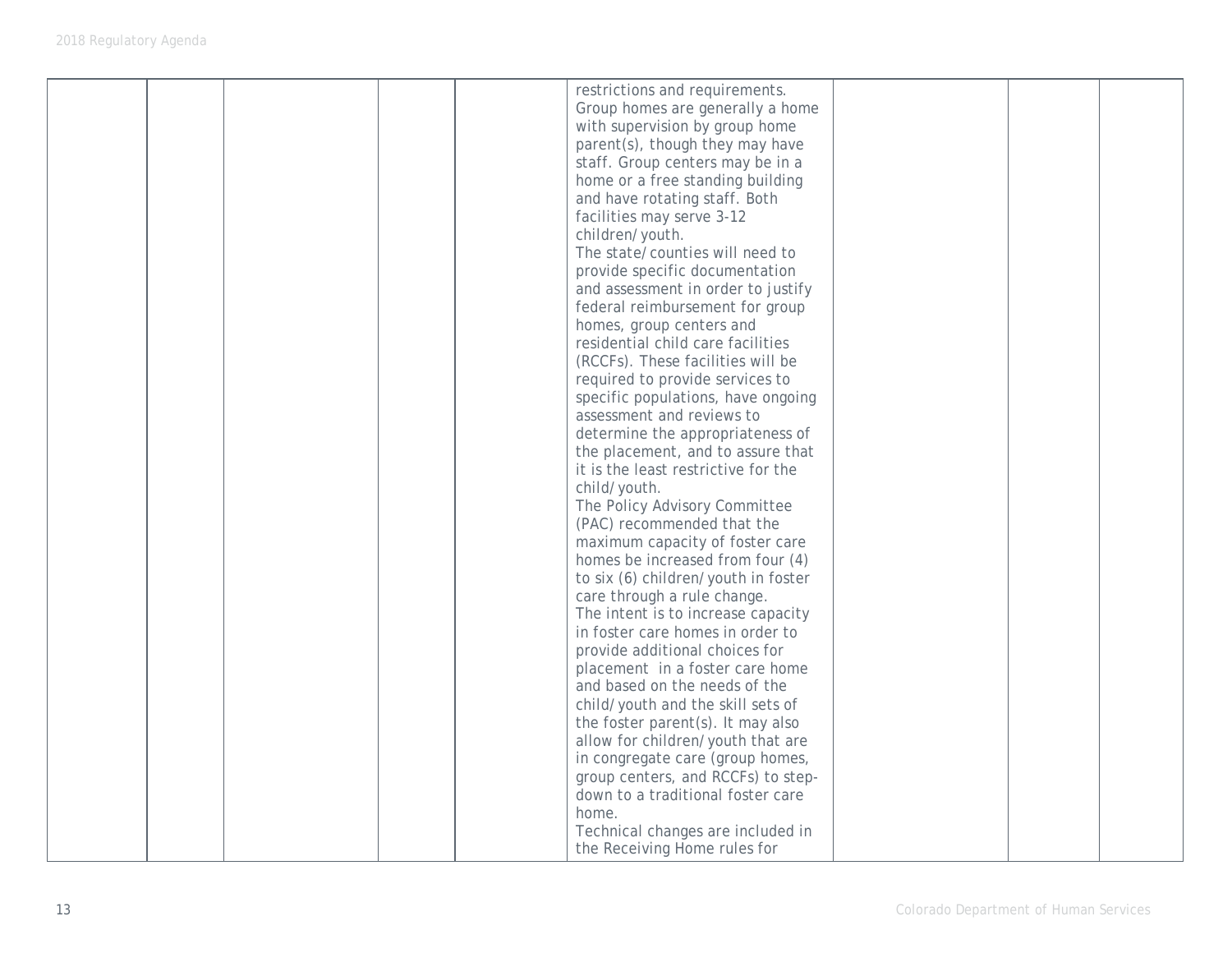|  |  | restrictions and requirements.<br>Group homes are generally a home<br>with supervision by group home<br>parent(s), though they may have<br>staff. Group centers may be in a<br>home or a free standing building<br>and have rotating staff. Both<br>facilities may serve 3-12<br>children/youth.<br>The state/counties will need to<br>provide specific documentation<br>and assessment in order to justify<br>federal reimbursement for group<br>homes, group centers and<br>residential child care facilities<br>(RCCFs). These facilities will be<br>required to provide services to<br>specific populations, have ongoing<br>assessment and reviews to<br>determine the appropriateness of<br>the placement, and to assure that<br>it is the least restrictive for the<br>child/youth.<br>The Policy Advisory Committee<br>(PAC) recommended that the<br>maximum capacity of foster care<br>homes be increased from four (4)<br>to six (6) children/youth in foster<br>care through a rule change.<br>The intent is to increase capacity<br>in foster care homes in order to<br>provide additional choices for<br>placement in a foster care home<br>and based on the needs of the<br>child/youth and the skill sets of<br>the foster parent(s). It may also<br>allow for children/youth that are<br>in congregate care (group homes,<br>group centers, and RCCFs) to step-<br>down to a traditional foster care<br>home. |  |  |
|--|--|-------------------------------------------------------------------------------------------------------------------------------------------------------------------------------------------------------------------------------------------------------------------------------------------------------------------------------------------------------------------------------------------------------------------------------------------------------------------------------------------------------------------------------------------------------------------------------------------------------------------------------------------------------------------------------------------------------------------------------------------------------------------------------------------------------------------------------------------------------------------------------------------------------------------------------------------------------------------------------------------------------------------------------------------------------------------------------------------------------------------------------------------------------------------------------------------------------------------------------------------------------------------------------------------------------------------------------------------------------------------------------------------------------------------------------|--|--|
|  |  | Technical changes are included in<br>the Receiving Home rules for                                                                                                                                                                                                                                                                                                                                                                                                                                                                                                                                                                                                                                                                                                                                                                                                                                                                                                                                                                                                                                                                                                                                                                                                                                                                                                                                                             |  |  |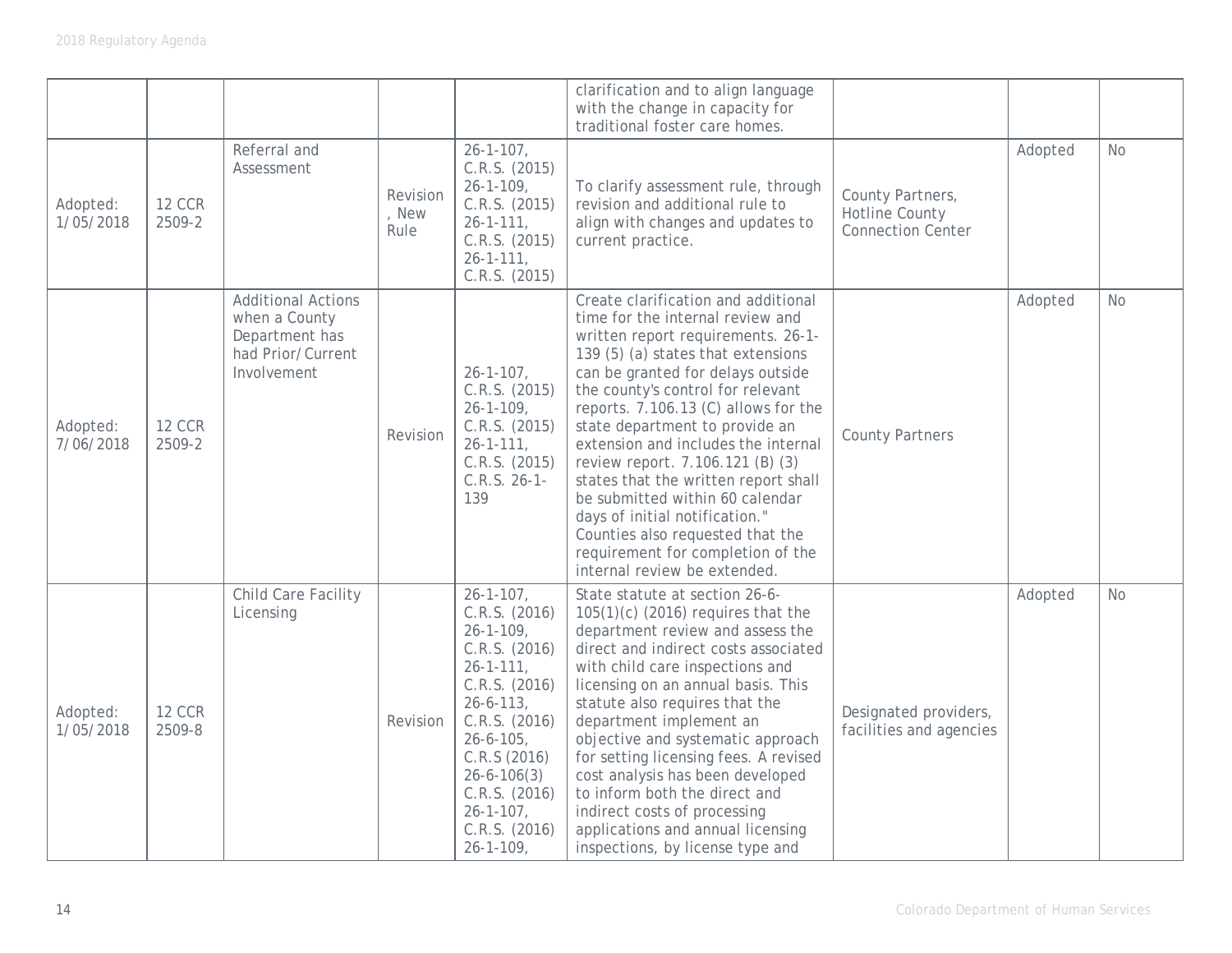|                       |                         |                                                                                                  |                           |                                                                                                                                                                                                                                                                                   | clarification and to align language<br>with the change in capacity for<br>traditional foster care homes.                                                                                                                                                                                                                                                                                                                                                                                                                                                                                                 |                                                                       |         |           |
|-----------------------|-------------------------|--------------------------------------------------------------------------------------------------|---------------------------|-----------------------------------------------------------------------------------------------------------------------------------------------------------------------------------------------------------------------------------------------------------------------------------|----------------------------------------------------------------------------------------------------------------------------------------------------------------------------------------------------------------------------------------------------------------------------------------------------------------------------------------------------------------------------------------------------------------------------------------------------------------------------------------------------------------------------------------------------------------------------------------------------------|-----------------------------------------------------------------------|---------|-----------|
| Adopted:<br>1/05/2018 | <b>12 CCR</b><br>2509-2 | Referral and<br>Assessment                                                                       | Revision<br>, New<br>Rule | $26 - 1 - 107$ ,<br>C.R.S. (2015)<br>$26 - 1 - 109$ ,<br>C.R.S. (2015)<br>$26 - 1 - 111$ ,<br>C.R.S. (2015)<br>$26 - 1 - 111$ ,<br>C.R.S. (2015)                                                                                                                                  | To clarify assessment rule, through<br>revision and additional rule to<br>align with changes and updates to<br>current practice.                                                                                                                                                                                                                                                                                                                                                                                                                                                                         | County Partners,<br><b>Hotline County</b><br><b>Connection Center</b> | Adopted | <b>No</b> |
| Adopted:<br>7/06/2018 | <b>12 CCR</b><br>2509-2 | <b>Additional Actions</b><br>when a County<br>Department has<br>had Prior/Current<br>Involvement | Revision                  | $26 - 1 - 107$ ,<br>C.R.S. (2015)<br>$26 - 1 - 109$ ,<br>C.R.S. (2015)<br>$26 - 1 - 111$ ,<br>C.R.S. (2015)<br>$C.R.S. 26-1-$<br>139                                                                                                                                              | Create clarification and additional<br>time for the internal review and<br>written report requirements. 26-1-<br>139 (5) (a) states that extensions<br>can be granted for delays outside<br>the county's control for relevant<br>reports. 7.106.13 (C) allows for the<br>state department to provide an<br>extension and includes the internal<br>review report. 7.106.121 (B) (3)<br>states that the written report shall<br>be submitted within 60 calendar<br>days of initial notification."<br>Counties also requested that the<br>requirement for completion of the<br>internal review be extended. | <b>County Partners</b>                                                | Adopted | <b>No</b> |
| Adopted:<br>1/05/2018 | <b>12 CCR</b><br>2509-8 | Child Care Facility<br>Licensing                                                                 | Revision                  | $26 - 1 - 107$ ,<br>C.R.S. (2016)<br>$26 - 1 - 109$ ,<br>C.R.S. (2016)<br>$26 - 1 - 111$ ,<br>C.R.S. (2016)<br>$26 - 6 - 113$ ,<br>C.R.S. (2016)<br>$26 - 6 - 105$ ,<br>C.R.S (2016)<br>$26 - 6 - 106(3)$<br>C.R.S. (2016)<br>$26 - 1 - 107$ ,<br>C.R.S. (2016)<br>$26 - 1 - 109$ | State statute at section 26-6-<br>$105(1)(c)$ (2016) requires that the<br>department review and assess the<br>direct and indirect costs associated<br>with child care inspections and<br>licensing on an annual basis. This<br>statute also requires that the<br>department implement an<br>objective and systematic approach<br>for setting licensing fees. A revised<br>cost analysis has been developed<br>to inform both the direct and<br>indirect costs of processing<br>applications and annual licensing<br>inspections, by license type and                                                     | Designated providers,<br>facilities and agencies                      | Adopted | <b>No</b> |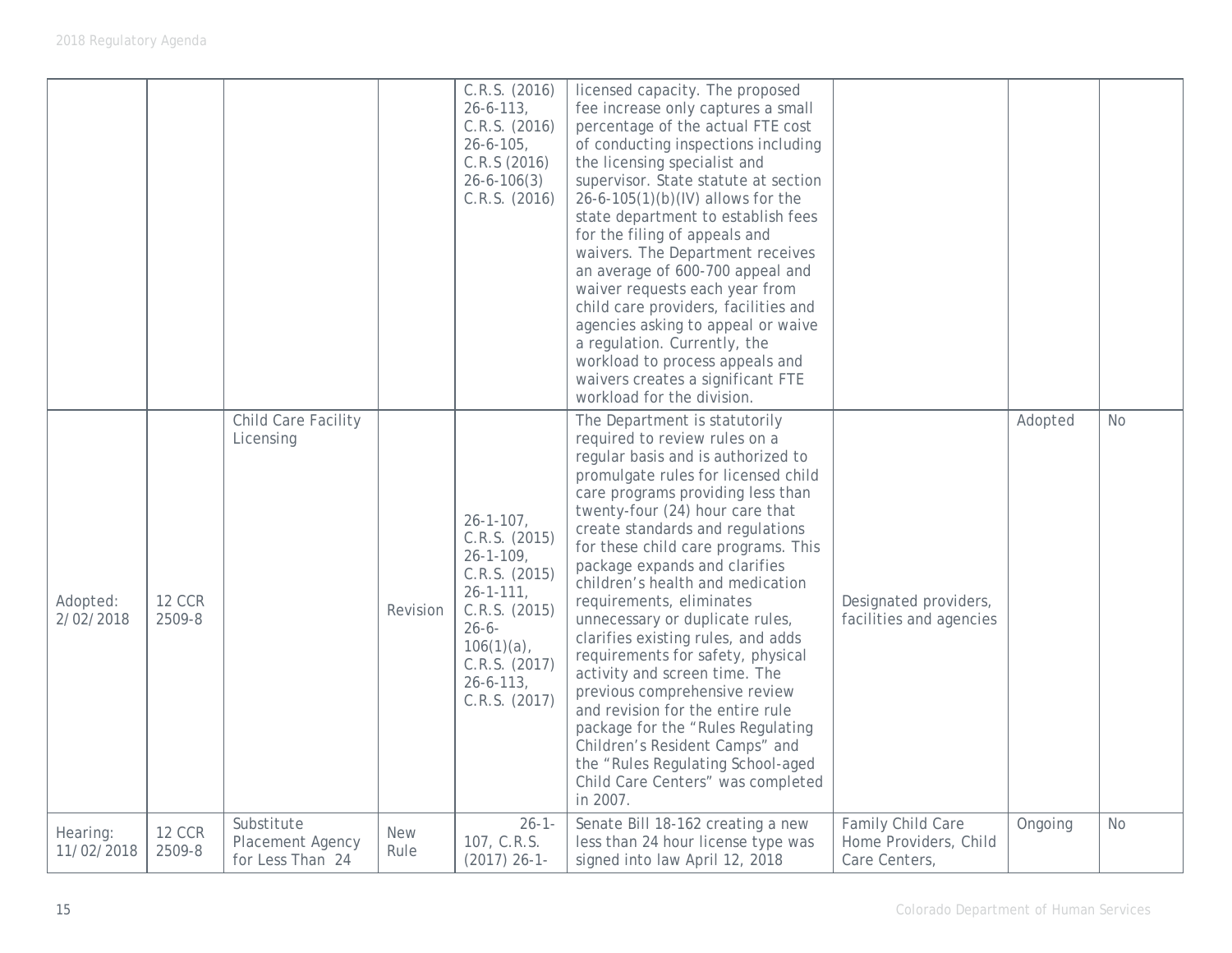|                        |                         |                                                    |                    | C.R.S. (2016)<br>$26 - 6 - 113$ ,<br>C.R.S. (2016)<br>$26 - 6 - 105$ ,<br>C.R.S (2016)<br>$26 - 6 - 106(3)$<br>C.R.S. (2016)                                                                     | licensed capacity. The proposed<br>fee increase only captures a small<br>percentage of the actual FTE cost<br>of conducting inspections including<br>the licensing specialist and<br>supervisor. State statute at section<br>26-6-105(1)(b)(IV) allows for the<br>state department to establish fees<br>for the filing of appeals and<br>waivers. The Department receives<br>an average of 600-700 appeal and<br>waiver requests each year from<br>child care providers, facilities and<br>agencies asking to appeal or waive<br>a regulation. Currently, the<br>workload to process appeals and<br>waivers creates a significant FTE<br>workload for the division.                                                                                                              |                                                             |         |           |
|------------------------|-------------------------|----------------------------------------------------|--------------------|--------------------------------------------------------------------------------------------------------------------------------------------------------------------------------------------------|----------------------------------------------------------------------------------------------------------------------------------------------------------------------------------------------------------------------------------------------------------------------------------------------------------------------------------------------------------------------------------------------------------------------------------------------------------------------------------------------------------------------------------------------------------------------------------------------------------------------------------------------------------------------------------------------------------------------------------------------------------------------------------|-------------------------------------------------------------|---------|-----------|
| Adopted:<br>2/02/2018  | <b>12 CCR</b><br>2509-8 | Child Care Facility<br>Licensing                   | Revision           | $26 - 1 - 107$ ,<br>C.R.S. (2015)<br>$26 - 1 - 109$ ,<br>C.R.S. (2015)<br>$26 - 1 - 111$ ,<br>C.R.S. (2015)<br>$26 - 6 -$<br>$106(1)(a)$ ,<br>C.R.S. (2017)<br>$26 - 6 - 113$ ,<br>C.R.S. (2017) | The Department is statutorily<br>required to review rules on a<br>regular basis and is authorized to<br>promulgate rules for licensed child<br>care programs providing less than<br>twenty-four (24) hour care that<br>create standards and regulations<br>for these child care programs. This<br>package expands and clarifies<br>children's health and medication<br>requirements, eliminates<br>unnecessary or duplicate rules,<br>clarifies existing rules, and adds<br>requirements for safety, physical<br>activity and screen time. The<br>previous comprehensive review<br>and revision for the entire rule<br>package for the "Rules Regulating<br>Children's Resident Camps" and<br>the "Rules Regulating School-aged<br>Child Care Centers" was completed<br>in 2007. | Designated providers,<br>facilities and agencies            | Adopted | <b>No</b> |
| Hearing:<br>11/02/2018 | <b>12 CCR</b><br>2509-8 | Substitute<br>Placement Agency<br>for Less Than 24 | <b>New</b><br>Rule | $26 - 1 -$<br>107, C.R.S.<br>$(2017)$ 26-1-                                                                                                                                                      | Senate Bill 18-162 creating a new<br>less than 24 hour license type was<br>signed into law April 12, 2018                                                                                                                                                                                                                                                                                                                                                                                                                                                                                                                                                                                                                                                                        | Family Child Care<br>Home Providers, Child<br>Care Centers, | Ongoing | <b>No</b> |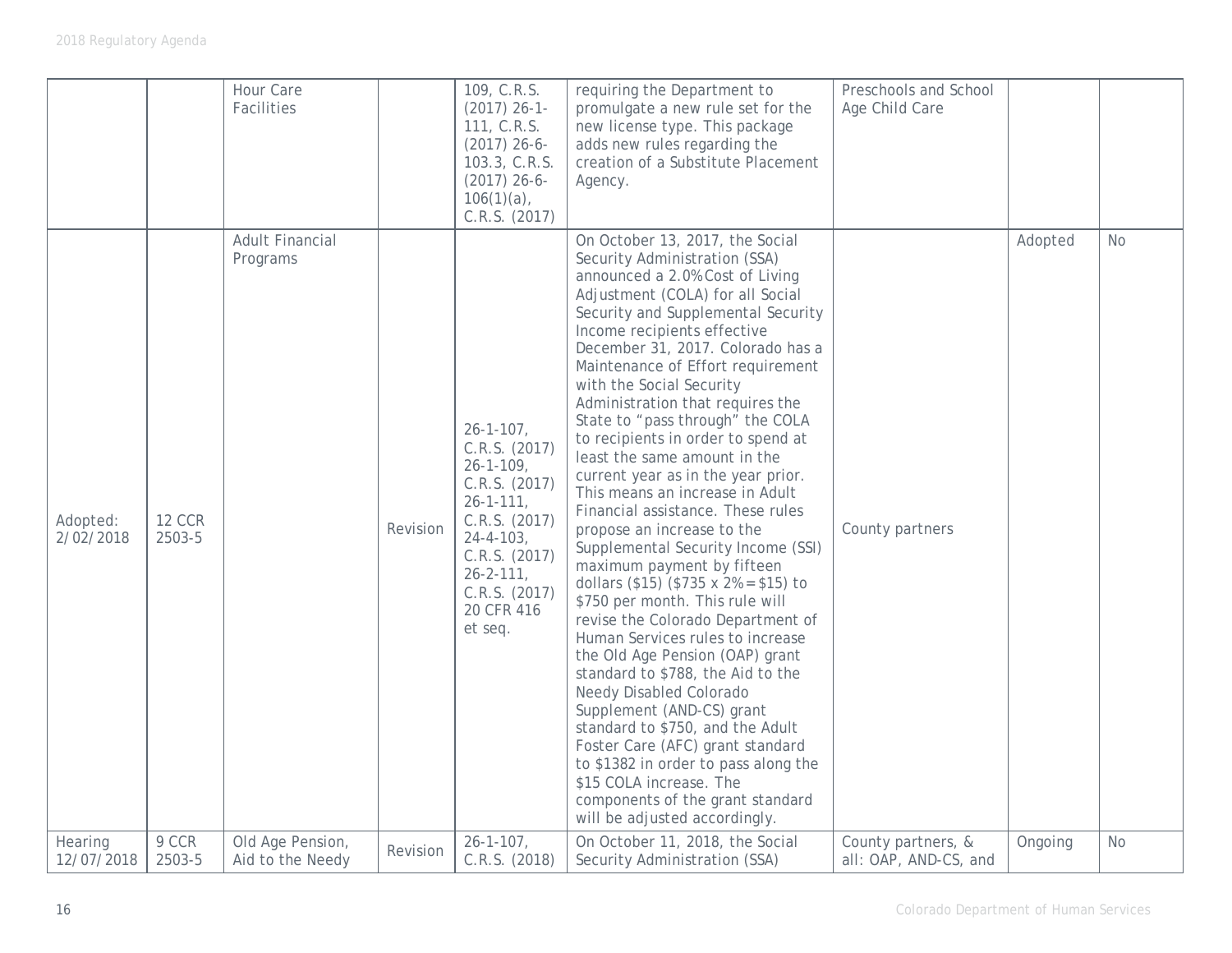|                       |                         | Hour Care<br>Facilities              |          | 109, C.R.S.<br>$(2017)$ 26-1-<br>111, C.R.S.<br>$(2017)$ 26-6-<br>103.3, C.R.S.<br>$(2017)$ 26-6-<br>$106(1)(a)$ ,<br>C.R.S. (2017)                                                                          | requiring the Department to<br>promulgate a new rule set for the<br>new license type. This package<br>adds new rules regarding the<br>creation of a Substitute Placement<br>Agency.                                                                                                                                                                                                                                                                                                                                                                                                                                                                                                                                                                                                                                                                                                                                                                                                                                                                                                                                                                                                     | Preschools and School<br>Age Child Care     |         |           |
|-----------------------|-------------------------|--------------------------------------|----------|--------------------------------------------------------------------------------------------------------------------------------------------------------------------------------------------------------------|-----------------------------------------------------------------------------------------------------------------------------------------------------------------------------------------------------------------------------------------------------------------------------------------------------------------------------------------------------------------------------------------------------------------------------------------------------------------------------------------------------------------------------------------------------------------------------------------------------------------------------------------------------------------------------------------------------------------------------------------------------------------------------------------------------------------------------------------------------------------------------------------------------------------------------------------------------------------------------------------------------------------------------------------------------------------------------------------------------------------------------------------------------------------------------------------|---------------------------------------------|---------|-----------|
| Adopted:<br>2/02/2018 | <b>12 CCR</b><br>2503-5 | <b>Adult Financial</b><br>Programs   | Revision | $26 - 1 - 107$ ,<br>C.R.S. (2017)<br>$26 - 1 - 109$<br>C.R.S. (2017)<br>$26 - 1 - 111$ ,<br>C.R.S. (2017)<br>$24 - 4 - 103$ ,<br>C.R.S. (2017)<br>$26 - 2 - 111$ ,<br>C.R.S. (2017)<br>20 CFR 416<br>et seq. | On October 13, 2017, the Social<br>Security Administration (SSA)<br>announced a 2.0% Cost of Living<br>Adjustment (COLA) for all Social<br>Security and Supplemental Security<br>Income recipients effective<br>December 31, 2017. Colorado has a<br>Maintenance of Effort requirement<br>with the Social Security<br>Administration that requires the<br>State to "pass through" the COLA<br>to recipients in order to spend at<br>least the same amount in the<br>current year as in the year prior.<br>This means an increase in Adult<br>Financial assistance. These rules<br>propose an increase to the<br>Supplemental Security Income (SSI)<br>maximum payment by fifteen<br>dollars (\$15) (\$735 x $2% = $15$ ) to<br>\$750 per month. This rule will<br>revise the Colorado Department of<br>Human Services rules to increase<br>the Old Age Pension (OAP) grant<br>standard to \$788, the Aid to the<br>Needy Disabled Colorado<br>Supplement (AND-CS) grant<br>standard to \$750, and the Adult<br>Foster Care (AFC) grant standard<br>to \$1382 in order to pass along the<br>\$15 COLA increase. The<br>components of the grant standard<br>will be adjusted accordingly. | County partners                             | Adopted | <b>No</b> |
| Hearing<br>12/07/2018 | 9 CCR<br>2503-5         | Old Age Pension,<br>Aid to the Needy | Revision | $26 - 1 - 107$ ,<br>C.R.S. (2018)                                                                                                                                                                            | On October 11, 2018, the Social<br>Security Administration (SSA)                                                                                                                                                                                                                                                                                                                                                                                                                                                                                                                                                                                                                                                                                                                                                                                                                                                                                                                                                                                                                                                                                                                        | County partners, &<br>all: OAP, AND-CS, and | Ongoing | <b>No</b> |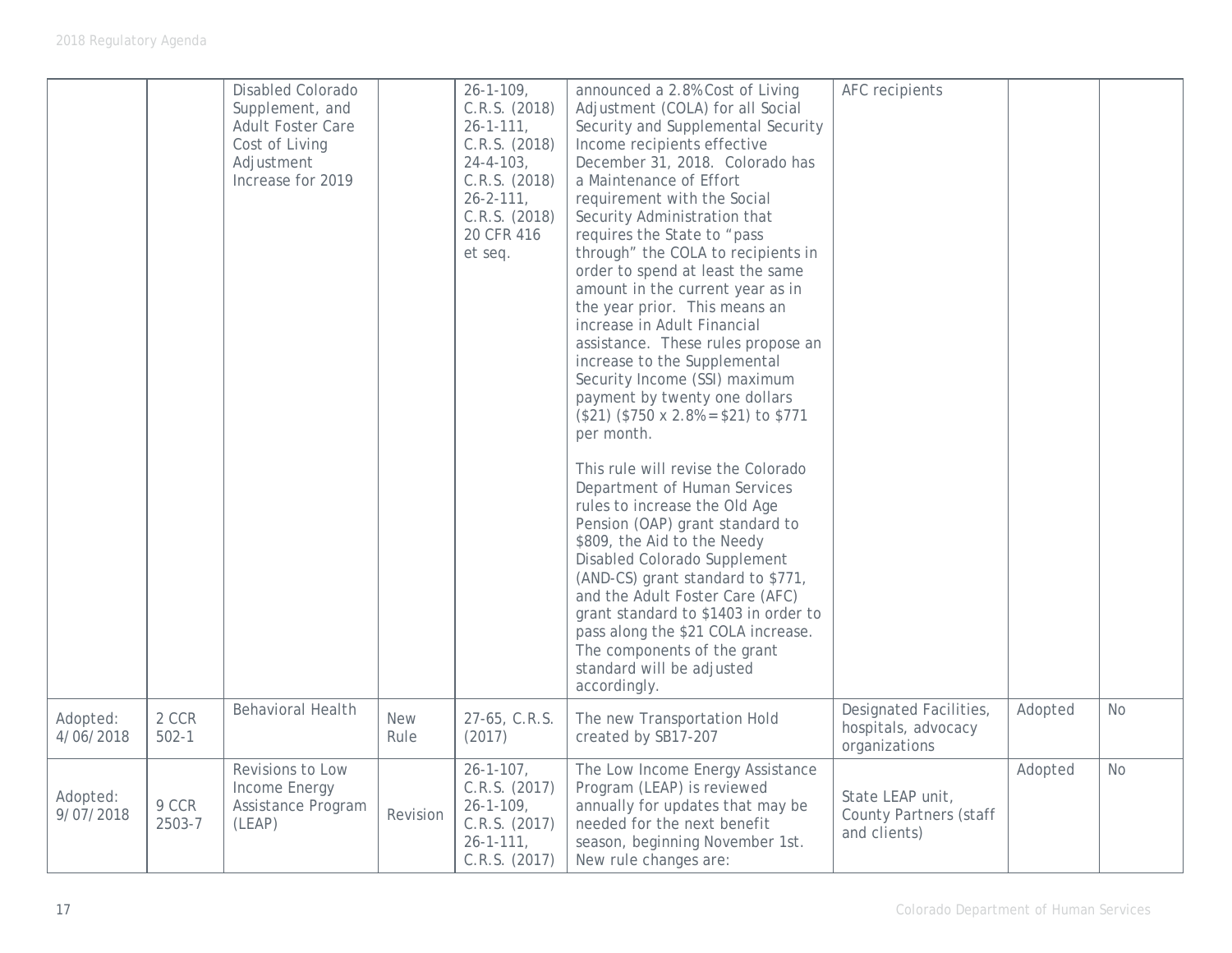|                       |                    | <b>Disabled Colorado</b><br>Supplement, and<br>Adult Foster Care<br>Cost of Living<br>Adjustment<br>Increase for 2019 |                    | $26 - 1 - 109$ ,<br>C.R.S. (2018)<br>$26 - 1 - 111$ ,<br>C.R.S. (2018)<br>$24 - 4 - 103$ ,<br>C.R.S. (2018)<br>$26 - 2 - 111$ ,<br>C.R.S. (2018)<br>20 CFR 416<br>et seq. | announced a 2.8% Cost of Living<br>Adjustment (COLA) for all Social<br>Security and Supplemental Security<br>Income recipients effective<br>December 31, 2018. Colorado has<br>a Maintenance of Effort<br>requirement with the Social<br>Security Administration that<br>requires the State to "pass<br>through" the COLA to recipients in<br>order to spend at least the same<br>amount in the current year as in<br>the year prior. This means an<br>increase in Adult Financial<br>assistance. These rules propose an<br>increase to the Supplemental<br>Security Income (SSI) maximum<br>payment by twenty one dollars<br>$$21)$ (\$750 x 2.8% = \$21) to \$771<br>per month.<br>This rule will revise the Colorado<br>Department of Human Services<br>rules to increase the Old Age<br>Pension (OAP) grant standard to<br>\$809, the Aid to the Needy<br>Disabled Colorado Supplement<br>(AND-CS) grant standard to \$771,<br>and the Adult Foster Care (AFC)<br>grant standard to \$1403 in order to<br>pass along the \$21 COLA increase.<br>The components of the grant<br>standard will be adjusted<br>accordingly. | AFC recipients                                                    |         |           |
|-----------------------|--------------------|-----------------------------------------------------------------------------------------------------------------------|--------------------|---------------------------------------------------------------------------------------------------------------------------------------------------------------------------|------------------------------------------------------------------------------------------------------------------------------------------------------------------------------------------------------------------------------------------------------------------------------------------------------------------------------------------------------------------------------------------------------------------------------------------------------------------------------------------------------------------------------------------------------------------------------------------------------------------------------------------------------------------------------------------------------------------------------------------------------------------------------------------------------------------------------------------------------------------------------------------------------------------------------------------------------------------------------------------------------------------------------------------------------------------------------------------------------------------------------|-------------------------------------------------------------------|---------|-----------|
| Adopted:<br>4/06/2018 | 2 CCR<br>$502 - 1$ | <b>Behavioral Health</b>                                                                                              | <b>New</b><br>Rule | 27-65, C.R.S.<br>(2017)                                                                                                                                                   | The new Transportation Hold<br>created by SB17-207                                                                                                                                                                                                                                                                                                                                                                                                                                                                                                                                                                                                                                                                                                                                                                                                                                                                                                                                                                                                                                                                           | Designated Facilities,<br>hospitals, advocacy<br>organizations    | Adopted | <b>No</b> |
| Adopted:<br>9/07/2018 | 9 CCR<br>2503-7    | Revisions to Low<br>Income Energy<br>Assistance Program<br>(LEAP)                                                     | Revision           | $26 - 1 - 107$ ,<br>C.R.S. (2017)<br>$26 - 1 - 109$ ,<br>C.R.S. (2017)<br>$26 - 1 - 111$ ,<br>C.R.S. (2017)                                                               | The Low Income Energy Assistance<br>Program (LEAP) is reviewed<br>annually for updates that may be<br>needed for the next benefit<br>season, beginning November 1st.<br>New rule changes are:                                                                                                                                                                                                                                                                                                                                                                                                                                                                                                                                                                                                                                                                                                                                                                                                                                                                                                                                | State LEAP unit,<br><b>County Partners (staff</b><br>and clients) | Adopted | <b>No</b> |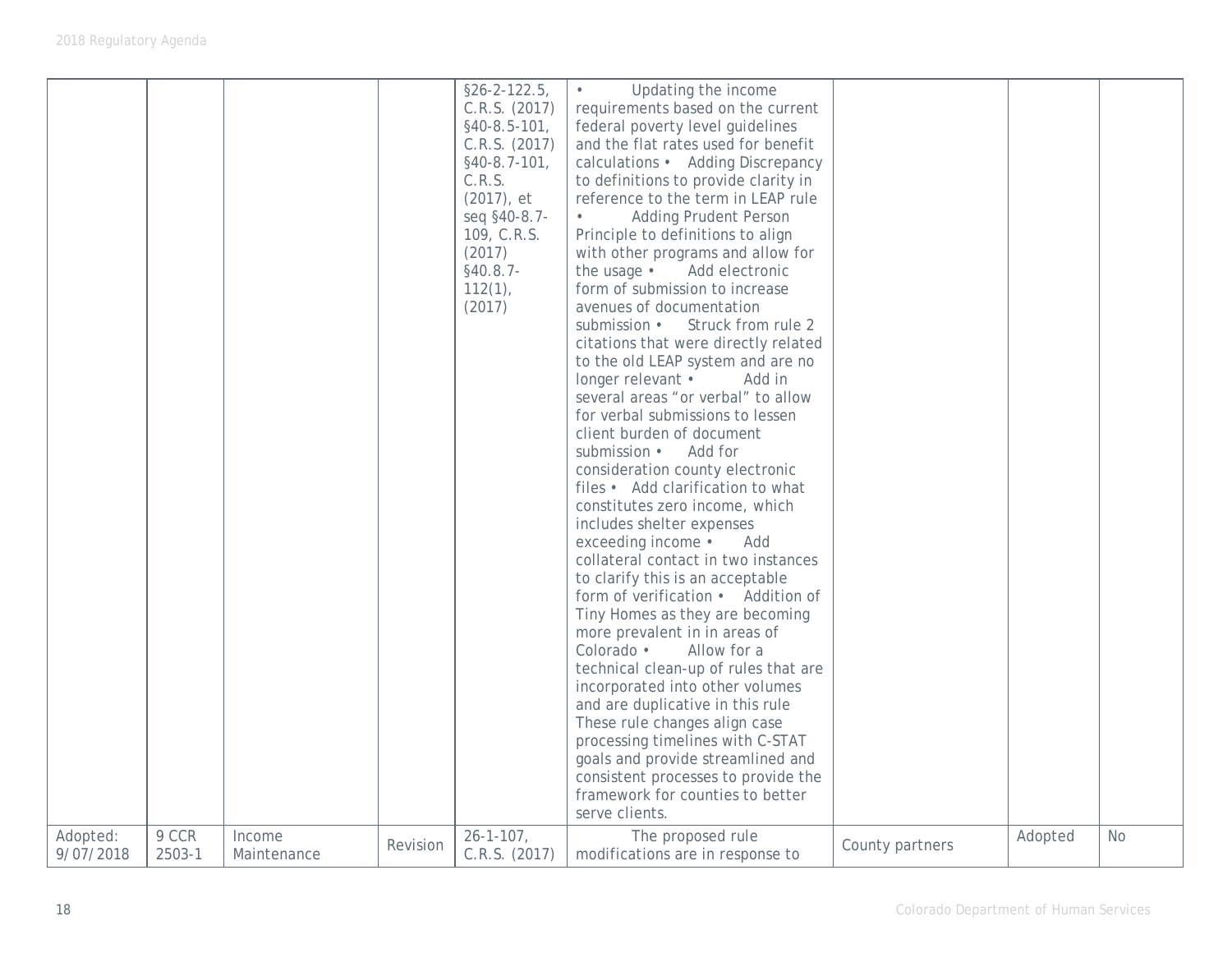|                       |                 |                       |          | $§26 - 2 - 122.5,$<br>C.R.S. (2017)<br>$§40-8.5-101,$<br>C.R.S. (2017)<br>$§40-8.7-101,$<br>C.R.S.<br>$(2017)$ , et<br>seq §40-8.7-<br>109, C.R.S.<br>(2017)<br>$§40.8.7-$<br>$112(1)$ ,<br>(2017) | Updating the income<br>requirements based on the current<br>federal poverty level guidelines<br>and the flat rates used for benefit<br>calculations • Adding Discrepancy<br>to definitions to provide clarity in<br>reference to the term in LEAP rule<br><b>Adding Prudent Person</b><br>Principle to definitions to align<br>with other programs and allow for<br>the usage •<br>Add electronic<br>form of submission to increase<br>avenues of documentation<br>submission •<br>Struck from rule 2<br>citations that were directly related<br>to the old LEAP system and are no<br>longer relevant •<br>Add in<br>several areas "or verbal" to allow<br>for verbal submissions to lessen<br>client burden of document<br>submission •<br>Add for<br>consideration county electronic<br>files • Add clarification to what<br>constitutes zero income, which<br>includes shelter expenses<br>exceeding income .<br>Add<br>collateral contact in two instances<br>to clarify this is an acceptable<br>form of verification • Addition of<br>Tiny Homes as they are becoming<br>more prevalent in in areas of<br>Colorado ·<br>Allow for a<br>technical clean-up of rules that are<br>incorporated into other volumes<br>and are duplicative in this rule<br>These rule changes align case<br>processing timelines with C-STAT<br>goals and provide streamlined and<br>consistent processes to provide the<br>framework for counties to better<br>serve clients. |                 |         |           |
|-----------------------|-----------------|-----------------------|----------|----------------------------------------------------------------------------------------------------------------------------------------------------------------------------------------------------|-----------------------------------------------------------------------------------------------------------------------------------------------------------------------------------------------------------------------------------------------------------------------------------------------------------------------------------------------------------------------------------------------------------------------------------------------------------------------------------------------------------------------------------------------------------------------------------------------------------------------------------------------------------------------------------------------------------------------------------------------------------------------------------------------------------------------------------------------------------------------------------------------------------------------------------------------------------------------------------------------------------------------------------------------------------------------------------------------------------------------------------------------------------------------------------------------------------------------------------------------------------------------------------------------------------------------------------------------------------------------------------------------------------------------------------------------------------------|-----------------|---------|-----------|
| Adopted:<br>9/07/2018 | 9 CCR<br>2503-1 | Income<br>Maintenance | Revision | $26 - 1 - 107$ ,<br>C.R.S. (2017)                                                                                                                                                                  | The proposed rule<br>modifications are in response to                                                                                                                                                                                                                                                                                                                                                                                                                                                                                                                                                                                                                                                                                                                                                                                                                                                                                                                                                                                                                                                                                                                                                                                                                                                                                                                                                                                                           | County partners | Adopted | <b>No</b> |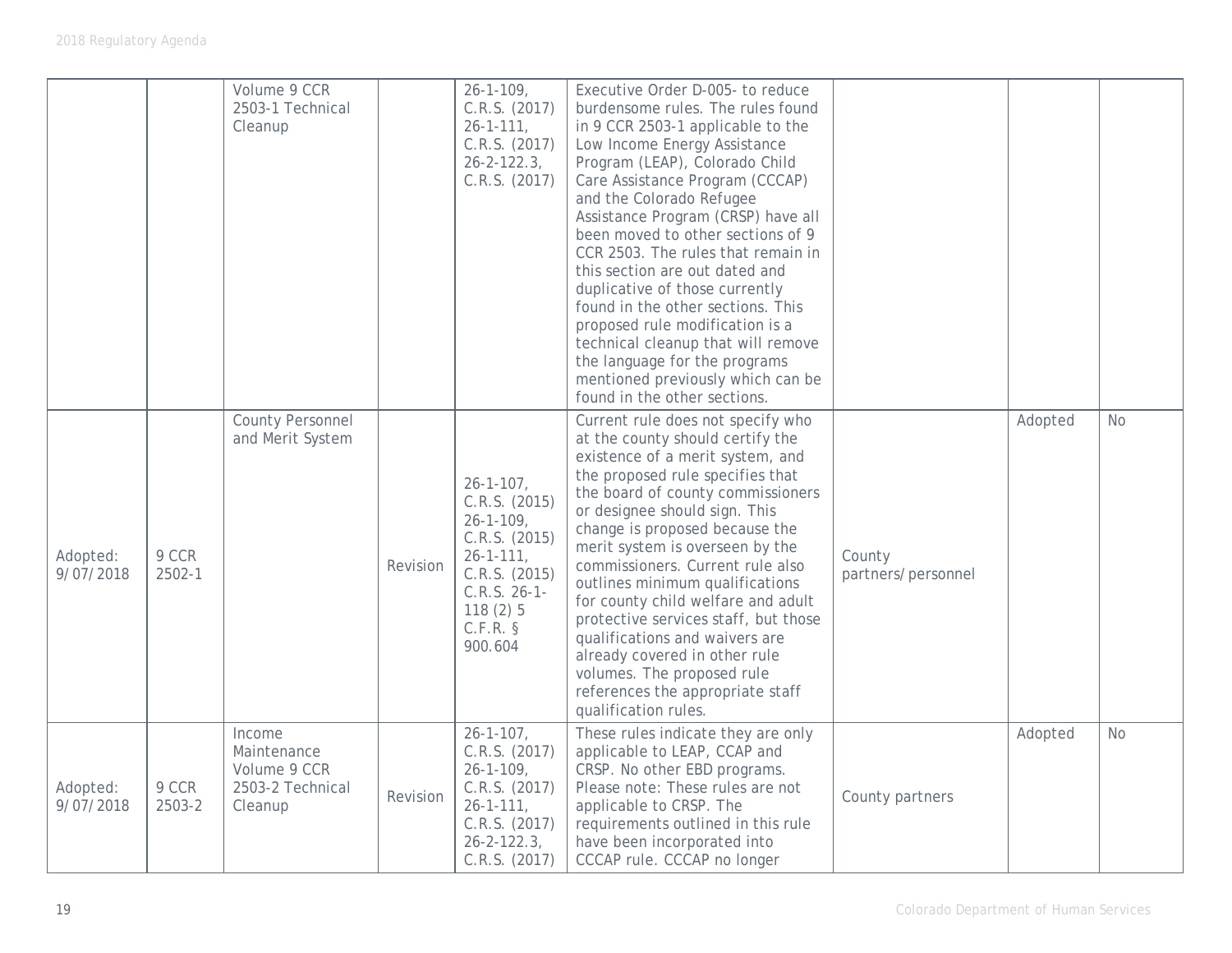|                       |                 | Volume 9 CCR<br>2503-1 Technical<br>Cleanup                          |          | $26 - 1 - 109$ ,<br>C.R.S. (2017)<br>$26 - 1 - 111$ ,<br>C.R.S. (2017)<br>$26 - 2 - 122.3$<br>C.R.S. (2017)                                                   | Executive Order D-005- to reduce<br>burdensome rules. The rules found<br>in 9 CCR 2503-1 applicable to the<br>Low Income Energy Assistance<br>Program (LEAP), Colorado Child<br>Care Assistance Program (CCCAP)<br>and the Colorado Refugee<br>Assistance Program (CRSP) have all<br>been moved to other sections of 9<br>CCR 2503. The rules that remain in<br>this section are out dated and<br>duplicative of those currently<br>found in the other sections. This<br>proposed rule modification is a<br>technical cleanup that will remove<br>the language for the programs<br>mentioned previously which can be<br>found in the other sections. |                              |         |           |
|-----------------------|-----------------|----------------------------------------------------------------------|----------|---------------------------------------------------------------------------------------------------------------------------------------------------------------|------------------------------------------------------------------------------------------------------------------------------------------------------------------------------------------------------------------------------------------------------------------------------------------------------------------------------------------------------------------------------------------------------------------------------------------------------------------------------------------------------------------------------------------------------------------------------------------------------------------------------------------------------|------------------------------|---------|-----------|
| Adopted:<br>9/07/2018 | 9 CCR<br>2502-1 | County Personnel<br>and Merit System                                 | Revision | $26 - 1 - 107$ ,<br>C.R.S. (2015)<br>$26 - 1 - 109$ ,<br>C.R.S. (2015)<br>$26 - 1 - 111$ ,<br>C.R.S. (2015)<br>$C.R.S. 26-1-$<br>118(2)5<br>C.F.R.<br>900.604 | Current rule does not specify who<br>at the county should certify the<br>existence of a merit system, and<br>the proposed rule specifies that<br>the board of county commissioners<br>or designee should sign. This<br>change is proposed because the<br>merit system is overseen by the<br>commissioners. Current rule also<br>outlines minimum qualifications<br>for county child welfare and adult<br>protective services staff, but those<br>qualifications and waivers are<br>already covered in other rule<br>volumes. The proposed rule<br>references the appropriate staff<br>qualification rules.                                           | County<br>partners/personnel | Adopted | <b>No</b> |
| Adopted:<br>9/07/2018 | 9 CCR<br>2503-2 | Income<br>Maintenance<br>Volume 9 CCR<br>2503-2 Technical<br>Cleanup | Revision | $26 - 1 - 107$ ,<br>C.R.S. (2017)<br>$26 - 1 - 109$ ,<br>C.R.S. (2017)<br>$26 - 1 - 111$ ,<br>C.R.S. (2017)<br>$26 - 2 - 122.3$<br>C.R.S. (2017)              | These rules indicate they are only<br>applicable to LEAP, CCAP and<br>CRSP. No other EBD programs.<br>Please note: These rules are not<br>applicable to CRSP. The<br>requirements outlined in this rule<br>have been incorporated into<br>CCCAP rule. CCCAP no longer                                                                                                                                                                                                                                                                                                                                                                                | County partners              | Adopted | <b>No</b> |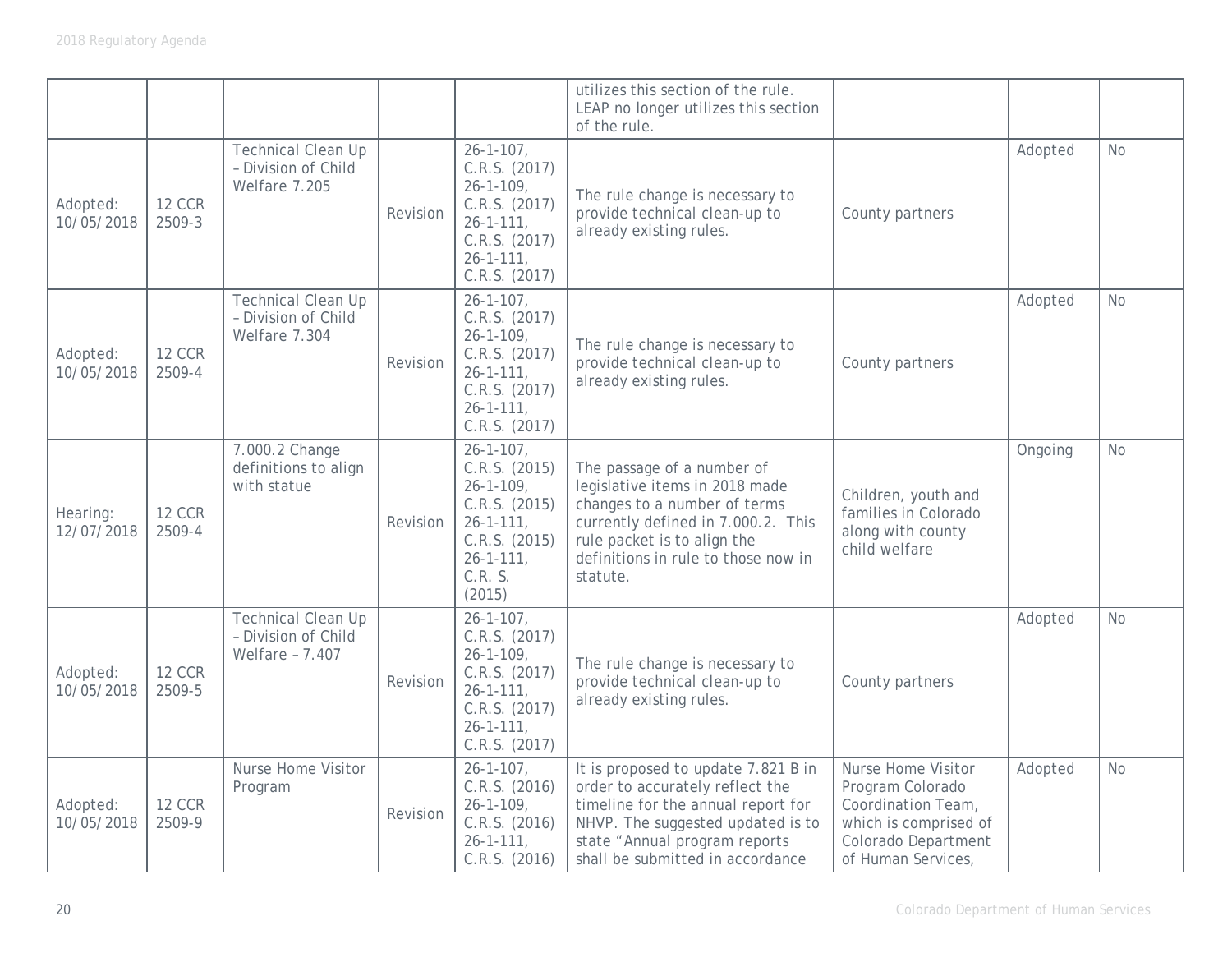|                        |                         |                                                                   |          |                                                                                                                                                    | utilizes this section of the rule.<br>LEAP no longer utilizes this section<br>of the rule.                                                                                                                             |                                                                                                                                    |         |           |
|------------------------|-------------------------|-------------------------------------------------------------------|----------|----------------------------------------------------------------------------------------------------------------------------------------------------|------------------------------------------------------------------------------------------------------------------------------------------------------------------------------------------------------------------------|------------------------------------------------------------------------------------------------------------------------------------|---------|-----------|
| Adopted:<br>10/05/2018 | <b>12 CCR</b><br>2509-3 | <b>Technical Clean Up</b><br>- Division of Child<br>Welfare 7.205 | Revision | $26 - 1 - 107$ ,<br>C.R.S. (2017)<br>$26 - 1 - 109$<br>C.R.S. (2017)<br>$26 - 1 - 111$ ,<br>C.R.S. (2017)<br>$26 - 1 - 111$ ,<br>C.R.S. (2017)     | The rule change is necessary to<br>provide technical clean-up to<br>already existing rules.                                                                                                                            | County partners                                                                                                                    | Adopted | <b>No</b> |
| Adopted:<br>10/05/2018 | <b>12 CCR</b><br>2509-4 | Technical Clean Up<br>- Division of Child<br>Welfare 7.304        | Revision | $26 - 1 - 107$ ,<br>C.R.S. (2017)<br>$26 - 1 - 109$ ,<br>C.R.S. (2017)<br>$26 - 1 - 111$ ,<br>C.R.S. (2017)<br>$26 - 1 - 111$ ,<br>C.R.S. (2017)   | The rule change is necessary to<br>provide technical clean-up to<br>already existing rules.                                                                                                                            | County partners                                                                                                                    | Adopted | <b>No</b> |
| Hearing:<br>12/07/2018 | <b>12 CCR</b><br>2509-4 | 7.000.2 Change<br>definitions to align<br>with statue             | Revision | $26 - 1 - 107$ ,<br>C.R.S. (2015)<br>$26 - 1 - 109$<br>C.R.S. (2015)<br>$26 - 1 - 111$ ,<br>C.R.S. (2015)<br>$26 - 1 - 111$ ,<br>C.R. S.<br>(2015) | The passage of a number of<br>legislative items in 2018 made<br>changes to a number of terms<br>currently defined in 7.000.2. This<br>rule packet is to align the<br>definitions in rule to those now in<br>statute.   | Children, youth and<br>families in Colorado<br>along with county<br>child welfare                                                  | Ongoing | No        |
| Adopted:<br>10/05/2018 | <b>12 CCR</b><br>2509-5 | Technical Clean Up<br>- Division of Child<br>Welfare - 7.407      | Revision | $26 - 1 - 107$ ,<br>C.R.S. (2017)<br>$26 - 1 - 109$ ,<br>C.R.S. (2017)<br>$26 - 1 - 111$ ,<br>C.R.S. (2017)<br>$26 - 1 - 111$ ,<br>C.R.S. (2017)   | The rule change is necessary to<br>provide technical clean-up to<br>already existing rules.                                                                                                                            | County partners                                                                                                                    | Adopted | <b>No</b> |
| Adopted:<br>10/05/2018 | <b>12 CCR</b><br>2509-9 | Nurse Home Visitor<br>Program                                     | Revision | $26 - 1 - 107$ ,<br>C.R.S. (2016)<br>$26 - 1 - 109$ ,<br>C.R.S. (2016)<br>$26 - 1 - 111$ ,<br>C.R.S. (2016)                                        | It is proposed to update 7.821 B in<br>order to accurately reflect the<br>timeline for the annual report for<br>NHVP. The suggested updated is to<br>state "Annual program reports<br>shall be submitted in accordance | Nurse Home Visitor<br>Program Colorado<br>Coordination Team,<br>which is comprised of<br>Colorado Department<br>of Human Services, | Adopted | <b>No</b> |